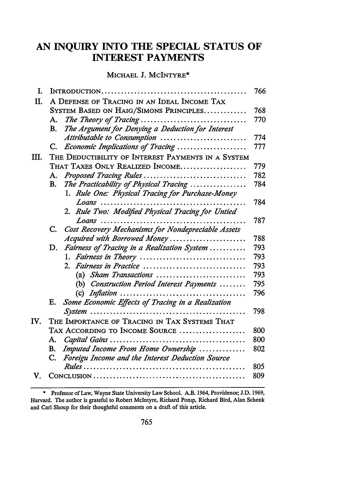# **AN INQUIRY INTO THE SPECIAL STATUS OF INTEREST PAYMENTS**

# MICHAEL **J.** MCINTYRE\*

| T.  |                                                          | 766 |  |  |
|-----|----------------------------------------------------------|-----|--|--|
| II. | A DEFENSE OF TRACING IN AN IDEAL INCOME TAX              |     |  |  |
|     | SYSTEM BASED ON HAIG/SIMONS PRINCIPLES                   | 768 |  |  |
|     | The Theory of Tracing<br>А.                              | 770 |  |  |
|     | The Argument for Denying a Deduction for Interest<br>В.  |     |  |  |
|     | Attributable to Consumption                              | 774 |  |  |
|     | Economic Implications of Tracing<br>C.                   | 777 |  |  |
| Ш.  | THE DEDUCTIBILITY OF INTEREST PAYMENTS IN A SYSTEM       |     |  |  |
|     | THAT TAXES ONLY REALIZED INCOME                          | 779 |  |  |
|     | Proposed Tracing Rules<br>A.                             | 782 |  |  |
|     | The Practicability of Physical Tracing<br>В.             | 784 |  |  |
|     | 1. Rule One: Physical Tracing for Purchase-Money         |     |  |  |
|     | Loans                                                    | 784 |  |  |
|     | 2. Rule Two: Modified Physical Tracing for Untied        |     |  |  |
|     |                                                          | 787 |  |  |
|     | Cost Recovery Mechanisms for Nondepreciable Assets<br>C. |     |  |  |
|     | Acquired with Borrowed Money                             | 788 |  |  |
|     | Fairness of Tracing in a Realization System<br>D.        | 793 |  |  |
|     |                                                          | 793 |  |  |
|     | 2. Fairness in Practice                                  | 793 |  |  |
|     | (a) Sham Transactions                                    | 793 |  |  |
|     | (b) Construction Period Interest Payments                | 795 |  |  |
|     |                                                          | 796 |  |  |
|     | E. Some Economic Effects of Tracing in a Realization     |     |  |  |
|     |                                                          | 798 |  |  |
| IV. | THE IMPORTANCE OF TRACING IN TAX SYSTEMS THAT            |     |  |  |
|     | TAX ACCORDING TO INCOME SOURCE                           | 800 |  |  |
|     | А.                                                       | 800 |  |  |
|     | Imputed Income From Home Ownership<br>В.<br>C.           | 802 |  |  |
|     | Foreigu Income and the Interest Deduction Source         | 805 |  |  |
| V.  |                                                          | 809 |  |  |
|     |                                                          |     |  |  |

<sup>\*</sup> Professor of Law, Wayne State University Law School. A.B. 1964, Providence; **J.D. 1969,** Harvard. The author is grateful to Robert McIntyre, Richard Ponip, Richard Bird, Alan Schenk and Carl Shoup for their thoughtful comments on a draft of this article.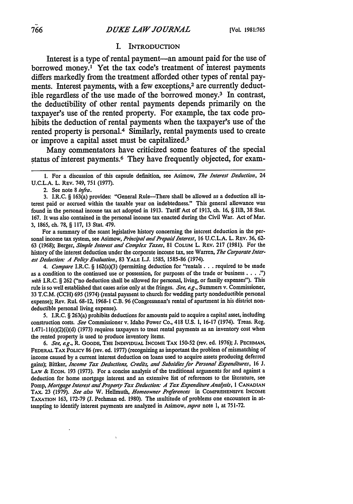#### I. **INTRODUCTION**

Interest is a type of rental payment-an amount paid for the use of borrowed money.' Yet the tax code's treatment of interest payments differs markedly from the treatment afforded other types of rental payments. Interest payments, with a few exceptions,<sup>2</sup> are currently deductible regardless of the use made of the borrowed money.3 In contrast, the deductibility of other rental payments depends primarily on the taxpayer's use of the rented property. For example, the tax code prohibits the deduction of rental payments when the taxpayer's use of the rented property is personal.4 Similarly, rental payments used to create or improve a capital asset must be capitalized.5

Many commentators have criticized some features of the special status of interest payments.<sup>6</sup> They have frequently objected, for exam-

2. See note 8 *infra.*

3. I.R.C. § 163(a) provides: "General Rule-There shall be allowed as a deduction all interest paid or accrued within the taxable year on indebtedness." This general allowance was found in the personal income tax act adopted in 1913. Tariff Act of 1913, ch. 16, § IIB, 38 Stat. **167.** It was also contained in the personal income tax enacted during the Civil War. Act of Mar. 3, 1865, ch. 78, § 117, 13 Stat. 479.

For a summary of the scant legislative history concerning the interest deduction in the personal income tax system, see Asimow, *Principal and Prepaid Interest*, 16 U.C.L.A. L. REV. 36, 62-63 (1968); Berger, *Simple Interest and Complex Taxes,* 81 **COLuM** L. REv. 217 (1981). For the history of the interest deduction under the corporate income tax, see Warren, *The Corporate Interest Deduction: A Policy Evaluation, 83 YALE L.J. 1585, 1585-86 (1974).* 

*4. Compare* I.R.C. § 162(a)(3) (permitting deduction for "rentals **...** required to be made as a condition to the continued use or possession, for purposes of the trade or business **....** ") *with* I.R.C. § 262 ("no deduction shall be allowed for personal, living, or family expenses"). This rule is so well established that cases arise only at the fringes. *See, e.g.,* Summers v. Commissioner, 33 T.C.M. (CCH) 695 (1974) (rental payment to church for wedding party nondeductible personal expense); Rev. Rul. 68-12, 1968-1 C.B. 96 (Congressman's rental of apartment in his district nondeductible personal living expense).

5. I.R.C. § 263(a) prohibits deductions for amounts paid to acquire a capital asset, including construction costs. *See* Commissioner v. Idaho Power Co., 418 **U.S.** 1, 16-17 (1974). Treas. Reg.  $1.471-11(c)(2)(i)(d)$  (1973) requires taxpayers to treat rental payments as an inventory cost when the rented property is used to produce inventory items.

*6. See, ag.,* R. **GOODE, THE INDIVIDUAL** INCOME **TAX** 150-52 (rev. ed. 1976); J. **PECHMAN,** FEDERAL TAX **POLICY** 86 (rev. ed. 1977) (recognizing as important the problem of mismatching of income caused by a current interest deduction on loans used to acquire assets producing deferred gains); Bittker, *Income Tax Deductions, Credits, and Subsidies for Personal Expenditures,* **16 J.** LAW & Econ. 193 (1973). For a concise analysis of the traditional arguments for and against a deduction for home mortgage interest and an extensive list of references to the literature, see Pomp, *Mortgage Interest and Property Tax Deduction: A Tax Expenditure Analysis,* **1 CANADIAN** TAX. 23 (1979). *See also* W. Hellmuth, *Homeowner Preferences* in **COMPREHENSIVE INCOME** TAXATION 163, 172-79 (J. Pechman ed. 1980). The multitude of problems one encounters in attempting to identify interest payments are analyzed in Asimow, *supra* note **1,** at 751-72.

**<sup>1.</sup>** For a discussion of this capsule definition, see Asimow, *The Interest Deduction,* 24 U.C.L.A. L. REV. 749, 751 (1977).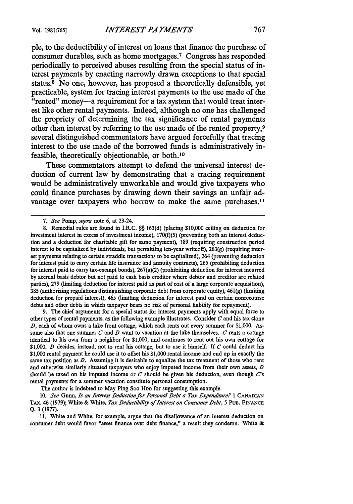**ple,** to the deductibility of interest on loans that finance the purchase of consumer durables, such as home mortgages.<sup>7</sup> Congress has responded periodically to perceived abuses resulting from the special status of interest payments **by** enacting narrowly drawn exceptions to that special status.8 No one, however, has proposed a theoretically defensible, yet practicable, system for tracing interest payments to the use made of the "rented" money-a requirement for a tax system that would treat interest like other rental payments. Indeed, although no one has challenged the propriety of determining the tax significance of rental payments other than interest **by** referring to the use made of the rented property,<sup>9</sup> several distinguished commentators have argued forcefully that tracing interest to the use made of the borrowed funds is administratively infeasible, theoretically objectionable, or both.'<sup>0</sup>

These commentators attempt to defend the universal interest deduction of current law **by** demonstrating that a tracing requirement would be administratively unworkable and would give taxpayers who could finance purchases **by** drawing down their savings an unfair advantage over taxpayers who borrow to make the same purchases.<sup>11</sup>

9. The chief arguments for a special status for interest payments apply with equal force to other types of rental payments, as the following example illustrates. Consider *C* and his tax clone *D,* each of whom owns a lake front cottage, which each rents out every summer for \$1,000. Assume also that one summer *C* and *D* want to vacation at the lake themselves. *C* rents a cottage identical to his own from a neighbor for \$1,000, and continues to rent out his own cottage for \$1,000. *D* decides, instead, not to rent his cottage, but to use it himself. If *C* could deduct his \$1,000 rental payment he could use it to offset his \$1,000 rental income and end up in exactly the same tax position as *D.* Assuming it is desirable to equalize the tax treatment of those who rent and otherwise similarly situated taxpayers who enjoy imputed income from their own assets, *D* should be taxed on his imputed income or *C* should be given his deduction, even though *C's* rental payments for a summer vacation constitute personal consumption.

The author is indebted to May Ping Soo Hoo for suggesting this example.

**10.** See *Gunn, Is an Interest Deduction for Personal Debt a Tax Expenditure?* **1 CANADIAN** TAX. 46 **(1979);** White & White, *Tax Deductibility of Interest on Consumer Debt, 5* **PUB. FINANCE Q.** 3 (1977).

11. White and White, for example, argue that the disallowance of an interest deduction on consumer debt would favor "asset finance over debt finance," a result they condemn. White &

*<sup>7.</sup> See* Pomp, *supra* note 6, at 23-24.

<sup>8.</sup> Remedial rules are found in I.R.C. §§ 163(d) (placing \$10,000 ceiling on deduction for investment interest in excess of investment income),  $170(f)(5)$  (preventing both an interest deduction and a deduction for charitable gift for same payment), 189 (requiring construction period interest to be capitalized by individuals, but permitting ten-year writeoft), 263(g) (requiring interest payments relating to certain straddle transactions to be capitalized), 264 (preventing deduction for interest paid to carry certain life insurance and annuity contracts), 265 (prohibiting deduction for interest paid to carry tax-exempt bonds), 267(a)(2) (prohibiting deduction for interest incurred by accrual basis debtor but not paid to cash basis creditor where debtor and creditor are related parties), 279 (limiting deduction for interest paid as part of cost of a large corporate acquisition), 385 (authorizing regulations distinguishing corporate debt from corporate equity),  $461(g)$  (limiting deduction for prepaid interest), 465 (limiting deduction for interest paid on certain nonrecourse debts and other debts in which taxpayer bears no risk of personal liability for repayment).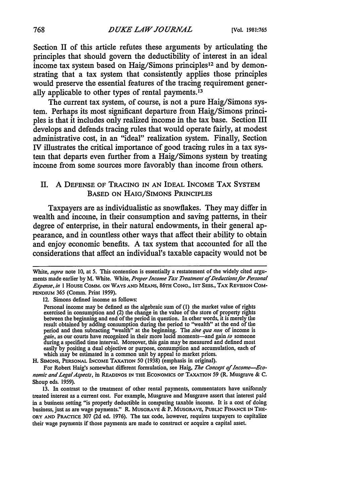Section II of this article refutes these arguments **by** articulating the principles that should govern the deductibility of interest in an ideal income tax system based on Haig/Simons principles<sup>12</sup> and by demonstrating that a tax system that consistently applies those principles would preserve the essential features of the tracing requirement generally applicable to other types of rental payments.'<sup>3</sup>

The current tax system, of course, is not a pure Haig/Simons system. Perhaps its most significant departure from Haig/Simons principles is that it includes only realized income in the tax base. Section III develops and defends tracing rules that would operate fairly, at modest administrative cost, in an "ideal" realization system. Finally, Section IV illustrates the critical importance of good tracing rules in a tax system that departs even further from a Haig/Simons system **by** treating income from some sources more favorably than income from others.

## **II.** A DEFENSE OF TRACING IN AN IDEAL INCOME TAX SYSTEM BASED ON HAIG/SIMONS PRINCIPLES

Taxpayers are as individualistic as snowflakes. They may differ in wealth and income, in their consumption and saving patterns, in their degree of enterprise, in their natural endowments, in their general appearance, and in countless other ways that affect their ability to obtain and enjoy economic benefits. A tax system that accounted for all the considerations that affect an individual's taxable capacity would not be

H. SIMONS, PERSONAL INCOME TAXATION 50 (1938) (emphasis in original).

For Robert Haig's somewhat different formulation, see Haig, The Concept of Income--Eco*nomic and LegalAspecls,* in READINGS IN THE ECONOMICS OF TAXATION 59 (R. Musgrave & **C.** Shoup eds. 1959).

13. In contrast to the treatment of other rental payments, commentators have uniformly treated interest as a current cost. For example, Musgrave and Musgrave assert that interest paid in a business setting "is properly deductible in computing taxable income. It is a cost of doing business, just as are wage payments." R. **MUSGRAVE** & P. **MUSGRAVE,** PUBLIC **FINANCE IN** THE-**ORY AND PRACTICE 307 (2d** ed. **1976).** The tax code, however, requires taxpayers to capitalize their wage payments if those payments are made to construct or acquire a capital asset.

White, *supra* note 10, at **5.** This contention is essentially a restatement of the widely cited arguments made earlier by M. White. White, *Proper Income Tax Treatment of Deductionsfor Personal Expense, in* I HOUSE COMM. ON WAYS **AND** MEANS, 86TH CONG., **IST** SESS., TAX REVISION COM-PENDIUM 365 (Comm. Print 1959).

<sup>12.</sup> Simons defined income as follows:

Personal income may be defined as the algebraic sum of (1) the market value of rights exercised in consumption and (2) the change in the value of the store of property rights between the beginning and end of the period in question. In other words, it is merely the result obtained by adding consumption during the period to "wealth" at the end of the period and then subracting "wealth" at the beginning. The *sine qua non* of income is *gain,* as our courts have recognized in their more lucid moments-and gain *to* someone during a specified time interval. Moreover, this gain may be measured and defined most easily by positing a dual objective or purpose, consumption and accumulation, each of which may be estimated in a common unit by appeal to market prices.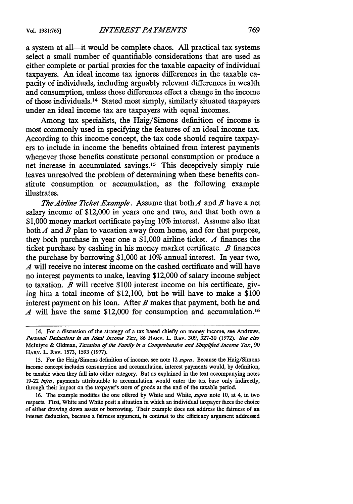a system at all-it would be complete chaos. **All** practical tax systems select a small number of quantifiable considerations that are used as either complete or partial proxies for the taxable capacity of individual taxpayers. An ideal income tax ignores differences in the taxable capacity of individuals, including arguably relevant differences in wealth and consumption, unless those differences effect a change in the income of those individuals.14 Stated most simply, similarly situated taxpayers under an ideal income tax are taxpayers with equal incomes.

Among tax specialists, the Haig/Simons definition of income is most commonly used in specifying the features of an ideal income tax. According to this income concept, the tax code should require taxpayers to include in income the benefits obtained from interest payments whenever those benefits constitute personal consumption or produce a net increase in accumulated savings.<sup>15</sup> This deceptively simply rule leaves unresolved the problem of determining when these benefits constitute consumption or accumulation, as the following example illustrates.

*The Airline Ticket Example.* Assume that bothA and *B* have a net salary income of \$12,000 in years one and two, and that both own a **\$1,000** money market certificate paying **10%** interest. Assume also that both A and B plan to vacation away from home, and for that purpose, they both purchase in year one a **\$1,000** airline ticket. *A* finances the ticket purchase **by** cashing in his money market certificate. *B* finances the purchase **by** borrowing **\$1,000** at **10%** annual interest. In year two, *4* will receive no interest income on the cashed certificate and will have no interest payments to make, leaving \$12,000 of salary income subject to taxation. *B* will receive **\$100** interest income on his certificate, giving him a total income of \$12,100, but he will have to make a **\$100** interest payment on his loan. After *B* makes that payment, both he and *A* will have the same \$12,000 for consumption and accumulation.<sup>16</sup>

**16.** The example modifies the one offered **by** White and White, *supra* note **10,** at 4, in two respects. First, White and White posit a situation in which an individual taxpayer faces the choice of either drawing down assets or borrowing. Their example does not address the fairness of an interest deduction, because a fairness argument, in contrast to the efficiency argument addressed

<sup>14.</sup> For a discussion of the strategy of a tax based chiefly on money income, see Andrews, *Personal Deductions in an Ideal Income Tax,* **86 HARV.** L. **REV. 309, 327-30 (1972).** *See also* McIntyre **&** Oldman, *Taxation of the Family in a Comprehensive and Simplfed Income Tax,* **<sup>90</sup>** HARv. L. **REV. 1573, 1593 (1977).**

**<sup>15.</sup>** For the Haig/Simons definition of income, see note 12 *supra.* Because the Haig/Simons income concept includes consumption and accumulation, interest payments would, **by** definition, be taxable when they fall into either category. But as explained in the text accompanying notes **19-22** *infra,* payments attributable to accumulation would enter the tax base only indirectly, through their impact on the taxpayer's store of goods at the end of the taxable period.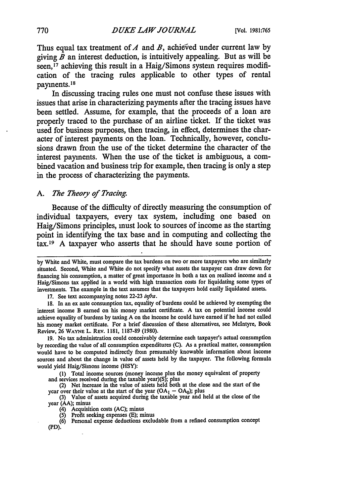Thus equal tax treatment of  $A$  and  $B$ , achieved under current law by giving  $\overline{B}$  an interest deduction, is intuitively appealing. But as will be seen,<sup>17</sup> achieving this result in a Haig/Simons system requires modification of the tracing rules applicable to other types of rental payments.18

In discussing tracing rules one must not confuse these issues with issues that arise in characterizing payments after the tracing issues have been settled. Assume, for example, that the proceeds of a loan are properly traced to the purchase of an airline ticket. If the ticket was used for business purposes, then tracing, in effect, determines the character of interest payments on the loan. Technically, however, conclusions drawn from the use of the ticket determine the character of the interest payments. When the use of the ticket is ambiguous, a combined vacation and business trip for example, then tracing is only a step in the process of characterizing the payments.

## *A. The Theory of Tracing.*

Because of the difficulty of directly measuring the consumption of individual taxpayers, every tax system, including one based on Haig/Simons principles, must look to sources of income as the starting point in identifying the tax base and in computing and collecting the tax.19 A taxpayer who asserts that he should have some portion of

17. See text accompanying notes 22-23 *infra.*

18. In an ex ante consumption tax, equality of burdens could be achieved by exempting the interest income B earned on his money market certificate. A tax on potential income could achieve equality of burdens by taxing A on the income he could have earned if he had not called his money market certificate. For a brief discussion of these alternatives, see McIntyre, Book Review, 26 WAYNE L. REV. 1181, 1187-89 (1980).

19. No tax administration could conceivably determine each taxpayer's actual consumption by recording the value of all consumption expenditures (C). As a practical matter, consumption would have to be computed indirectly from presumably knowable information about income sources and about the change in value of assets held **by** the taxpayer. The following formula would yield Haig/Simons income (HSY):

**(1)** Total income sources (money income plus the money equivalent of property and services received during the taxable year)(S); plus

(2) Net increase in the value of assets held both at the close and the start of the ycar over their value at the start of the year  $(OA<sub>1</sub> - OA<sub>0</sub>)$ ; plus<br>(3) Value of assets acquired during the taxable year and held at the close of the

year (AA); minus

(4) Acquisition costs (AC); minus

(5) Profit seeking expenses (E); minus

(6) Personal expense deductions excludable from a refined consumption concept (PD).

by White and White, must compare the tax burdens on two or more taxpayers who are similarly situated. Second, White and White do not specify what assets the taxpayer can draw down for financing his consumption, a matter of great importance in both a tax on realized income and a Haig/Simons tax applied in a world with high transaction costs for liquidating some types of investments. The example in the text assumes that the taxpayers hold easily liquidated assets.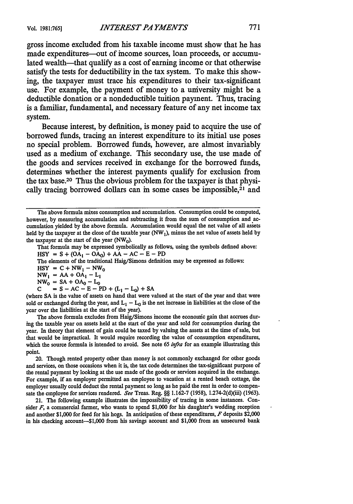gross income excluded from his taxable income must show that he has made expenditures—out of income sources, loan proceeds, or accumulated wealth—that qualify as a cost of earning income or that otherwise satisfy the tests for deductibility in the tax system. To make this showing, the taxpayer must trace his expenditures to their tax-significant use. For example, the payment of money to a university might be a deductible donation or a nondeductible tuition payment. Thus, tracing is a familiar, fundamental, and necessary feature of any net income tax system.

Because interest, **by** definition, is money paid to acquire the use of borrowed funds, tracing an interest expenditure to its initial use poses no special problem. Borrowed funds, however, are almost invariably used as a medium of exchange. This secondary use, the use made of the goods and services received in exchange for the borrowed funds, determines whether the interest payments qualify for exclusion from the tax base.20 Thus the obvious problem for the taxpayer is that physically tracing borrowed dollars can in some cases be impossible,<sup>21</sup> and

That formula may be expressed symbolically as follows, using the symbols defined above:  $HSY = S + (OA<sub>1</sub> - OA<sub>0</sub>) + AA - AC - E - PD$ 

The elements of the traditional Haig/Simons definition may be expressed as follows:

 $HSY = C + NW_1 - NW_0$ 

 $NW_1 = AA + OA_1 - L_1$ 

 $NW_0 = SA + OA_0 - L_0$ 

 $S = S - AC - E - PD + (L<sub>1</sub> - L<sub>0</sub>) + SA$ 

(where SA is the value of assets on hand that were valued at the start of the year and that were sold or exchanged during the year, and  $L_1 - L_0$  is the net increase in liabilities at the close of the year over the liabilities at the start of the year).

The above formula excludes from Haig/Simons income the economic gain that accrues during the taxable year on assets held at the start of the year and sold for consumption during the year. In theory that element of gain could be taxed by valuing the assets at the time of sale, but that would be impractical. It would require recording the value of consumption expenditures, which the source formula is intended to avoid. See note 65 *infra* for an example illustrating this point.

20. Though rented property other than money is not commonly exchanged for other goods and services, on those occasions when it is, the tax code determines the tax-significant purpose of the rental payment **by** looking at the use made of the goods or services acquired in the exchange. For example, if an employer permitted an employee to vacation at a rented beach cottage, the employer usually could deduct the rental payment so long as he paid the rent in order to compensate the employee for services rendered. *See* Treas. Reg. §§ 1.162-7 (1958), 1.274-2(d)(iii) (1963).

21. The following example illustrates the impossibility of tracing in some instances. Consider *F,* a commercial farmer, who wants to spend \$1,000 for his daughter's wedding reception and another \$1,000 for feed for his hogs. In anticipation of these expenditures, *F* deposits \$2,000 in his checking account-S1,000 from his savings account and \$1,000 from an unsecured bank

The above formula mixes consumption and accumulation. Consumption could be computed, however, by measuring accumulation and subtracting it from the sum of consumption and accumulation yielded by the above formula. Accumulation would equal the net value of all assets held by the taxpayer at the close of the taxable year (NW<sub>1</sub>), minus the net value of assets held by the taxpayer at the start of the year  $(NW_0)$ .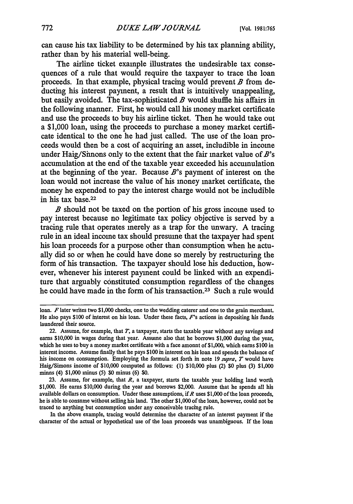can cause his tax liability to be determined by his tax planning ability, rather than by his material well-being.

The airline ticket example illustrates the undesirable tax consequences of a rule that would require the taxpayer to trace the loan proceeds. In that example, physical tracing would prevent *B* from deducting his interest payment, a result that is intuitively unappealing, but easily avoided. The tax-sophisticated *B* would shuffle his affairs in the following manner. First, he would call his money market certificate and use the proceeds to buy his airline ticket. Then he would take out a \$1,000 loan, using the proceeds to purchase a money market certificate identical to the one he had just called. The use of the loan proceeds would then be a cost of acquiring an asset, includible in income under Haig/Simons only to the extent that the fair market value of *B's* accumulation at the end of the taxable year exceeded his accumulation at the beginning of the year. Because *B's* payment of interest on the loan would not increase the value of his money market certificate, the money he expended to pay the interest charge would not be includible in his tax base.22

*B* should not be taxed on the portion of his gross income used to pay interest because no legitimate tax policy objective is served by a tracing rule that operates merely as a trap for the unwary. A tracing rule in an ideal income tax should presume that the taxpayer had spent his loan proceeds for a purpose other than consumption when he actually did so or when he could have done so merely by restructuring the form of his transaction. The taxpayer should lose his deduction, however, whenever his interest payment could be linked with an expenditure that arguably constituted consumption regardless of the changes he could have made in the form of his transaction.23 Such a rule would

In the above example, tracing would determine the character of an interest payment if the character of the actual or hypothetical use of the loan proceeds was unambiguous. If the loan

loan. *F* later writes two **\$1,000** checks, one to the wedding caterer and one to the grain merchant. He also pays \$100 of interest on his loan. Under these facts, F's actions in depositing his funds laundered their source.

<sup>22.</sup> Assume, for example, that *T,* a taxpayer, starts the taxable year without any savings and earns \$10,000 in wages during that year. Assume also that he borrows \$1,000 during the year, which he uses to buy a money market certificate with a face amount of **\$** 1,000, which earns \$100 in interest income. Assume finally that he pays \$100 in interest on his loan and spends the balance of his income on consumption. Employing the formula set forth in note 19 *supra, 7* would have Haig/Simons income of \$10,000 computed as follows: **(1)** \$10,000 plus (2) **\$0** plus **(3)** \$1,000 minus (4) \$1,000 minus **(5) \$0** minus (6) \$0.

<sup>23.</sup> Assume, for example, that *R,* a taxpayer, starts the taxable year holding land worth \$1,000. He earns \$10,000 during the year and borrows \$2,000. Assume that he spends all his available dollars on consumption. Under these assumptions, if *R* uses \$1,000 of the loan proceeds, he is able to consume without selling his land. The other \$1,000 of the loan, however, could not be traced to anything but consumption under any conceivable tracing rule.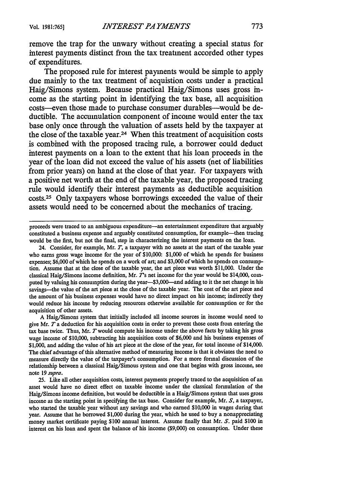remove the trap for the unwary without creating a special status for interest payments distinct from the tax treatment accorded other types of expenditures.

The proposed rule for interest payments would be simple to apply due mainly to the tax treatment of acquistion costs under a practical Haig/Simons system. Because practical Haig/Simons uses gross income as the starting point in identifying the tax base, all acquisition costs-even those made to purchase consumer durables-would be deductible. The accumulation component of income would enter the tax base only once through the valuation of assets held **by** the taxpayer at the close of the taxable year.24 When this treatment of acquisition costs is combined with the proposed tracing rule, a borrower could deduct interest payments on a loan to the extent that his loan proceeds in the year of the loan did not exceed the value of his assets (net of liabilities from prior years) on hand at the close of that year. For taxpayers with a positive net worth at the end of the taxable year, the proposed tracing rule would identify their interest payments as deductible acquisition costs. 25 Only taxpayers whose borrowings exceeded the value of their assets would need to be concerned about the mechanics of tracing.

proceeds were traced to an ambiguous expenditure-an entertainment expenditure that arguably constituted a business expense and arguably constituted consumption, for example-then tracing would be the first, but not the final, step in characterizing the interest payments on the loan.

24. Consider, for example, Mr. *T,* a taxpayer with no assets at the start of the taxable year who earns gross wage income for the year of \$10,000: \$1,000 of which he spends for business expenses; \$6,000 of which he spends on a work of art; and \$3,000 of which he spends on consumption. Assume that at the close of the taxable year, the art piece was worth \$11,000. Under the classical Haig/Simons income definition, Mr. *T's* net income for the year would be \$14,000, computed by valuing his consumption during the year-\$3,000-and adding to it the net change in his savings--the value of the art piece at the close of the taxable year. The cost of the art piece and the amount of his business expenses would have no direct impact on his income; indirectly they would reduce his income by reducing resources otherwise available for consumption or for the acquisition of other assets.

A Haig/Simons system that initially included all income sources in income would need to give Mr. *T* a deduction for his acquisition costs in order to prevent those costs from entering the tax base twice. Thus, Mr. *T* would compute his income under the above facts by taking his gross wage income of \$10,000, subtracting his acquisition costs of \$6,000 and his business expenses of \$1,000, and adding the value of his art piece at the close of the year, for total income of \$14,000. The chief advantage of this alternative method of measuring income is that it obviates the need to measure directly the value of the taxpayer's consumption. For a more formal discussion of the relationship between a classical Haig/Simons system and one that begins with gross income, see note *19 supra.*

25. Like all other acquisition costs, interest payments properly traced to the acquisition of an asset would have no direct effect on taxable income under the classical formulation of the Haig/Simons income definition, but would be deductible in a Haig/Simons system that uses gross income as the starting point in specifying the tax base. Consider for example, Mr. *S,* a taxpayer, who started the taxable year without any savings and who earned \$10,000 in wages during that year. Assume that he borrowed \$1,000 during the year, which he used to buy a nonappreciating money market certificate paying \$100 annual interest. Assume finally that Mr. *S.* paid \$100 in interest on his loan and spent the balance of his income (\$9,000) on consumption. Under these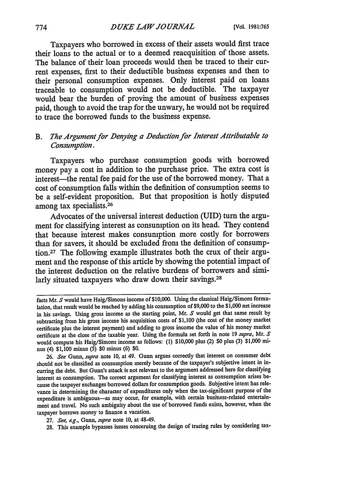Taxpayers who borrowed in excess of their assets would first trace their loans to the actual or to a deemed reacquisition of those assets. The balance of their loan proceeds would then be traced to their current expenses, first to their deductible business expenses and then to their personal consumption expenses. Only interest paid on loans traceable to consumption would not be deductible. The taxpayer would bear the burden of proving the amount of business expenses paid, though to avoid the trap for the unwary, he would not be required to trace the borrowed funds to the business expense.

# *B. The Argument for Denying a Deduction for Interest Attributable to Consumption.*

Taxpayers who purchase consumption goods with borrowed money pay a cost in addition to the purchase price. The extra cost is interest-the rental fee paid for the use of the borrowed money. That a cost of consumption falls within the definition of consumption seems to be a self-evident proposition. But that proposition is hotly disputed among tax specialists.<sup>26</sup>

Advocates of the universal interest deduction (UID) turn the argument for classifying interest as consumption on its head. They contend that because interest makes consumption more costly for borrowers than for savers, it should be excluded from the definition of consumption. 27 The following example illustrates both the crux of their argument and the response of this article by showing the potential impact of the interest deduction on the relative burdens of borrowers and similarly situated taxpayers who draw down their savings.<sup>28</sup>

facts Mr. *S* would have Haig/Simons income of \$10,000. Using the classical Haig/Simons formulation, that result would be reached by adding his consumption of \$9,000 to the \$1,000 net increase in his savings. Using gross income as the starting point, Mr. *S* would get that same result by subtracting from his gross income his acquisition costs of \$1,100 (the cost of the money market certificate plus the interest payment) and adding to gross income the value of his money market certificate at the close of the taxable year. Using the formula set forth in note 19 *supra,* Mr. *S* would compute his Haig/Simons income as follows: **(1)** \$10,000 plus (2) **\$0** plus (3) \$1,000 minus (4) \$1,100 minus (5) **\$0** minus (6) \$0.

<sup>26.</sup> *See* Gunn, *supra* note 10, at 49. Gunn argues correctly that interest on consumer debt should not be classified as consumption merely because of the taxpayer's subjective intent in incurring the debt. But Gunn's attack is not relevant to the argument addressed here for classifying interest as consumption. The correct argument for classifying interest as consumption arises because the taxpayer exchanges borrowed dollars for consumption goods. Subjective intent has relevance in determining the character of expenditures only when the tax-significant purpose of the expenditure is ambiguous--as may occur, for example, with certain business-related entertainment and travel. No such ambiguity about the use of borrowed funds exists, however, when the taxpayer borrows money to finance a vacation.

<sup>27.</sup> *See, e.g., Gunn, supra* note 10, at 48-49.

**<sup>28.</sup>** This example bypasses issues concerning the design of tracing rules **by** considering tax-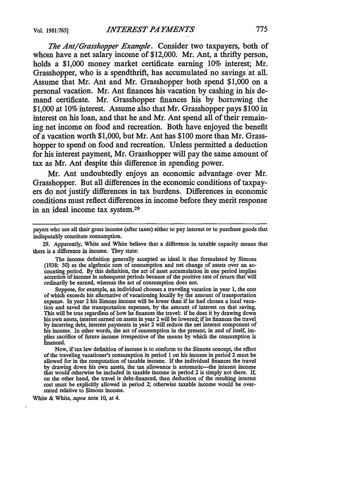*The Ant/Grasshopper Example.* Consider two taxpayers, both of whom have a net salary income of \$12,000. Mr. Ant, a thrifty person, holds a **\$1,000** money market certificate earning **10%** interest; Mr. Grasshopper, who is a spendthrift, has accumulated no savings at all. Assume that Mr. Ant and Mr. Grasshopper both spend **\$1,000** on a personal vacation. Mr. Ant finances his vacation **by** cashing in his demand certificate. Mr. Grasshopper finances his **by** borrowing the **\$1,000** at **10%** interest. Assume also that Mr. Grasshopper pays **\$100** in interest on his loan, and that he and Mr. Ant spend **all** of their remaining net income on food and recreation. Both have enjoyed the benefit of a vacation worth **\$1,000,** but Mr. Ant has **\$100** more than Mr. Grasshopper to spend on food and recreation. Unless permitted a deduction for his interest payment, Mr. Grasshopper will pay the same amount of tax as Mr. Ant despite this difference in spending power.

Mr. Ant undoubtedly enjoys an economic advantage over Mr. Grasshopper. But all differences in the economic conditions of taxpayers do not justify differences in tax burdens. Differences in economic conditions must reflect differences in income before they merit response in an ideal income tax system.<sup>29</sup>

Suppose, for example, an individual chooses a traveling vacation in year **1,** the cost of which exceeds his alternative of vacationing locally by the amount of transportation expense. In year 2 his Simons income will be lower than if he had chosen a local vacation and saved the transportation expenses, **by** the amount of interest on that saving. This will be true regardless of how he finances the travel: if he does it by drawing down his own assets, interest earned on assets in year 2 will be lowered; if he finances the travel by incurring debt, interest payments in year 2 will reduce the net interest component of his income. In other words, the act of consumption in the present, in and of itself, implies sacrifice of future income irrespective of the means by which the consumption is financed.

Now, if tax law definition of income is to conform to the Simons concept, the effect of the traveling vacationer's consumption in period **I** on his income in period 2 must be allowed for in the computation of taxable income. If the individual finances the travel by drawing down his own assets, the tax allowance is automatic—the interest income that would otherwise be included in taxable income in period 2 is simply not there. If, on the other hand, the travel is debt-financed, then deduction of the resulting interest cost must be explicitly allowed in period 2; otherwise taxable income would be overstated relative to Simons income.

White & White, supra note **10,** at 4.

payers who use all their gross income (after taxes) either to pay interest or to purchase goods that indisputably constitute consumption.

<sup>29.</sup> Apparently, White and White believe that a difference in taxable capacity means that there is a difference in income. They state:

The income definition generally accepted as ideal is that formulated by Simons (1938: 50) as the algebraic sum of consumption and net change of assets over an accounting period. By this definition, the act of asset accumulation in one period implies accretion of income in subsequent periods because of the positive rate of return that will ordinarily be earned, whereas the act of consumption does not.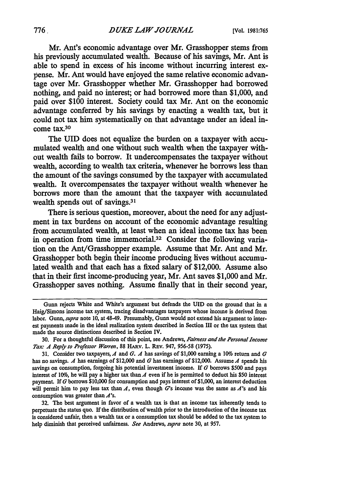Mr. Ant's economic advantage over Mr. Grasshopper stems from his previously accumulated wealth. Because of his savings, Mr. Ant is able to spend in excess of his income without incurring interest expense. Mr. Ant would have enjoyed the same relative economic advantage over Mr. Grasshopper whether Mr. Grasshopper had borrowed nothing, and paid no interest; or had borrowed more than \$1,000, and paid over \$100 interest. Society could tax Mr. Ant on the economic advantage conferred by his savings by enacting a wealth tax, but it could not tax him systematically on that advantage under an ideal income tax.<sup>30</sup>

The UID does not equalize the burden on a taxpayer with accumulated wealth and one without such wealth when the taxpayer without wealth fails to borrow. It undercompensates the taxpayer without wealth, according to wealth tax criteria, whenever he borrows less than the amount of the savings consumed by the taxpayer with accumulated wealth. It overcompensates the taxpayer without wealth whenever he borrows more than the amount that the taxpayer with accumulated wealth spends out of savings.<sup>31</sup>

There is serious question, moreover, about the need for any adjustment in tax burdens on account of the economic advantage resulting from accumulated wealth, at least when an ideal income tax has been in operation from time immemorial.<sup>32</sup> Consider the following variation on the Ant/Grasshopper example. Assume that Mr. Ant and Mr. Grasshopper both begin their income producing lives without accumulated wealth and that each has a fixed salary of \$12,000. Assume also that in their first income-producing year, Mr. Ant saves \$1,000 and Mr. Grasshopper saves nothing. Assume finally that in their second year,

Gunn rejects White and White's argument but defends the **UID** on the ground that in a Haig/Simons income tax system, tracing disadvantages taxpayers whose income is derived from labor. Gunn, *supra* note **10,** at 48-49. Presumably, **Gunn** would not extend his argument to interest payments made in the ideal realization system described in Section **III** or the tax system that made the source distinctions described in Section IV.

**<sup>30.</sup>** For a thoughtful discussion of this point, see Andrews, *Fairness and the Personal income* Tax: A Reply to Professor Warren, 88 HARV. L. REV. 947, 956-58 (1975).

<sup>31.</sup> Consider two taxpayers, A and *G. A* has savings of S1,000 earning a *10%* return and *G* has no savings. *A* has earnings of \$12,000 and *G* has earnings of \$12,000. Assume *A* spends his savings on consumption, forgoing his potential investment income. If G borrows \$500 and pays interest of 10%, he will pay a higher tax than  $\Lambda$  even if he is permitted to deduct his \$50 interest payment. If G borrows \$10,000 for consumption and pays interest of \$1,000, an interest deduction will permit him to pay less tax than  $A$ , even though  $G$ 's income was the same as  $A$ 's and his consumption was greater than  $A$ 's.

**<sup>32.</sup>** The best argument in favor of a wealth tax is that an income tax inherently tends to perpetuate the status quo. **If** the distribution of wealth prior to the introduction of the income tax is considered unfair, then a wealth tax or a consumption tax should be added to the tax system to help diminish that perceived unfairness. *See* Andrews, *supra* note **30,** at 957.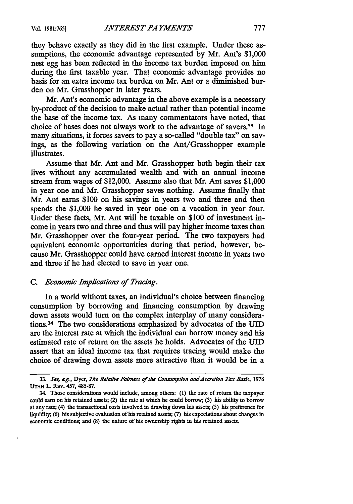they behave exactly as they did in the first example. Under these assumptions, the economic advantage represented by Mr. Ant's \$1,000 nest egg has been reflected in the income tax burden imposed on him during the first taxable year. That economic advantage provides no basis for an extra income tax burden on Mr. Ant or a diminished burden on Mr. Grasshopper in later years.

Mr. Ant's economic advantage in the above example is a necessary by-product of the decision to make actual rather than potential income the base of the income tax. As many commentators have noted, that choice of bases does not always work to the advantage of savers.<sup>33</sup> In many situations, it forces savers to pay a so-called "double tax" on savings, as the following variation on the Ant/Grasshopper example illustrates.

Assume that Mr. Ant and Mr. Grasshopper both begin their tax lives without any accumulated wealth and with an annual income stream from wages of \$12,000. Assume also that Mr. Ant saves \$1,000 in year one and Mr. Grasshopper saves nothing. Assume finally that Mr. Ant earns \$100 on his savings in years two and three and then spends the \$1,000 he saved in year one on a vacation in year four. Under these facts, Mr. Ant will be taxable on \$100 of investment income in years two and three and thus will pay higher income taxes than Mr. Grasshopper over the four-year period. The two taxpayers had equivalent economic opportunities during that period, however, because Mr. Grasshopper could have earned interest income in years two and three if he had elected to save in year one.

## *C. Economic Implications of Tracing.*

In a world without taxes, an individual's choice between financing consumption by borrowing and financing consumption by drawing down assets would turn on the complex interplay of many considerations.34 The two considerations emphasized by advocates of the UID are the interest rate at which the individual can borrow money and his estimated rate of return on the assets he holds. Advocates of the **UID** assert that an ideal income tax that requires tracing would make the choice of drawing down assets more attractive than it would be in a

**<sup>33.</sup>** *See, ag.,* Dyer, *The Relative Fairness of the Consumption andAccretion Tar Basis,* <sup>1978</sup> **UTAH** L. **REv.** 457, 485-87.

<sup>34.</sup> Those considerations would include, among others: (1) the rate of return the taxpayer could earn on his retained assets; (2) the rate at which he could borrow; **(3)** his ability to borrow at any rate; (4) the transactional costs involved in drawing down his assets; (5) his preference for liquidity; **(6)** his subjective evaluation of his retained assets; (7) his expectations about changes in economic conditions; and **(8)** the nature of his ownership rights in his retained assets.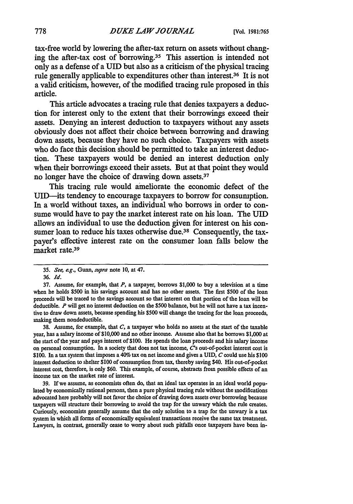tax-free world **by** lowering the after-tax return on assets without changing the after-tax cost of borrowing.<sup>35</sup> This assertion is intended not only as a defense of a UID but also as a criticism of the physical tracing rule generally applicable to expenditures other than interest.<sup>36</sup> It is not a valid criticism, however, of the modified tracing rule proposed in this article.

This article advocates a tracing rule that denies taxpayers a deduction for interest only to the extent that their borrowings exceed their assets. Denying an interest deduction to taxpayers without any assets obviously does not affect their choice between borrowing and drawing down assets, because they have no such choice. Taxpayers with assets who do face this decision should be permitted to take an interest deduction. These taxpayers would be denied an interest deduction only when their borrowings exceed their assets. But at that point they would no longer have the choice of drawing down assets.<sup>37</sup>

This tracing rule would ameliorate the economic defect of the UID-its tendency to encourage taxpayers to borrow for consumption. In a world without taxes, an individual who borrows in order to consume would have to pay the market interest rate on his loan. The UID allows an individual to use the deduction given for interest on his consumer loan to reduce his taxes otherwise due.<sup>38</sup> Consequently, the taxpayer's effective interest rate on the consumer loan **falls** below the market rate.39

38. Assume, for example, that *C,* a taxpayer who holds no assets at the start of the taxable year, has a salary income of \$10,000 and no other income. Assume also that he borrows \$1,000 at the start of the year and pays interest of \$100. He spends the loan proceeds and his salary income on personal consumption. In a society that does not tax income,  $C$ 's out-of-pocket interest cost is \$100. In a tax system that imposes a 40% tax on net income and gives a UID, *C* could use his \$100 interest deduction to shelter \$100 of consumption from tax, thereby saving \$40. His out-of-pocket interest cost, therefore, is only \$60. This example, of course, abstracts from possible effects of an income tax on the market rate of interest.

39. If we assume, as economists often do, that an ideal tax operates in an ideal world populated by economically rational persons, then a pure physical tracing rule without the modifications advocated here probably will not favor the choice of drawing down assets over borrowing because taxpayers will structure their borrowing to avoid the trap for the unwary which the rule creates. Curiously, economists generally assume that the only solution to a trap for the unwary is a tax system in which all forms of economically equivalent transactions receive the same tax treatment. Lawyers, in contrast, generally cease to worry about such pitfalls once taxpayers have been in-

<sup>35.</sup> *See, ag.,* Gunn, *supra* note 10, at 47.

<sup>36.</sup> *Id.*

<sup>37.</sup> Assume, for example, that *P,* a taxpayer, borrows \$1,000 to buy a television at a time when he holds \$500 in his savings account **and** has no other assets. The first \$500 of the loan proceeds will be traced to the savings account so that interest on that portion of the loan will be deductible. *P* will get no interest deduction on the \$500 balance, but he will not have a tax incentive to draw down assets, because spending his \$500 will change the tracing for the loan proceeds, making them nondeductible.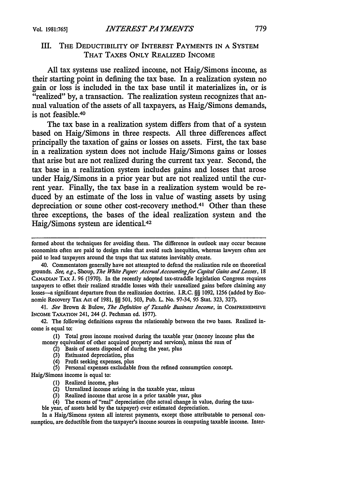## III. THE DEDUCTIBILITY OF INTEREST PAYMENTS IN A SYSTEM THAT TAXES ONLY REALIZED INCOME

All tax systems use realized income, not Haig/Simons income, as their starting point in defining the tax base. In a realization system no gain or loss is included in the tax base until it materializes in, or is "realized" by, a transaction. The realization system recognizes that annual valuation of the assets of all taxpayers, as Haig/Simons demands, is not feasible.<sup>40</sup>

The tax base in a realization system differs from that of a system based on Haig/Simons in three respects. **All** three differences affect principally the taxation of gains or losses on assets. First, the tax base in a realization system does not include Haig/Simons gains or losses that arise but are not realized during the current tax year. Second, the tax base in a realization system includes gains and losses that arose under Haig/Simons in a prior year but are not realized until the current year. Finally, the tax base in a realization system would be reduced **by** an estimate of the loss in value of wasting assets **by** using depreciation or some other cost-recovery method.<sup>41</sup> Other than these three exceptions, the bases of the ideal realization system and the Haig/Simons system are identical.<sup>42</sup>

formed about the techniques for avoiding them. The difference in outlook may occur because economists often are paid to design rules that avoid such inequities, whereas lawyers often are paid to lead taxpayers around the traps that tax statutes inevitably create.

40. Commentators generally have not attempted to defend the realization rule on theoretical grounds. *See, e.g.,* Shoup, *The White Paper: AccrualAccountingfor Capital Gains and Losses, 18* **CANADIAN** TAX J. 96 (1970). In the recently adopted tax-straddle legislation Congress requires taxpayers to offset their realized straddle losses with their unrealized gains before claiming any losses-a significant departure from the realization doctrine. I.R.C. **§§** 1092, 1256 (added by Economic Recovery Tax Act of 1981, §§ 501, 503, Pub. L. No. 97-34, 95 Stat. 323, 327).

41. *See* Brown & Bulow, *The Definition of Taxable Business Income,* in **COMPREHENSIVE** INCOME TAXATION 241, 244 **(J.** Pechman ed. 1977).

42. The following definitions express the relationship between the two bases. Realized income is equal to:

**(1)** Total gross income received during the taxable year (money income plus the money equivalent of other acquired property and services), minus the sum of

- $(2)$  Basis of assets disposed of during the year, plus
- (3) Estimated depreciation, plus
- (4) Profit seeking expenses, plus

**(5)** Personal expenses excludable from the refined consumption concept.

- Haig/Simons income is equal to:
	- (1) Realized income, plus
	- (2) Unrealized income arising in the taxable year, minus
	- (3) Realized income that arose in a prior taxable year, plus
	- (4) The excess of "real" depreciation (the actual change in value, during the taxa-
	- ble year, of assets held by the taxpayer) over estimated depreciation.

In a Haig/Simons system all interest payments, except those attributable to personal consumption, are deductible from the taxpayer's income sources in computing taxable income. Inter-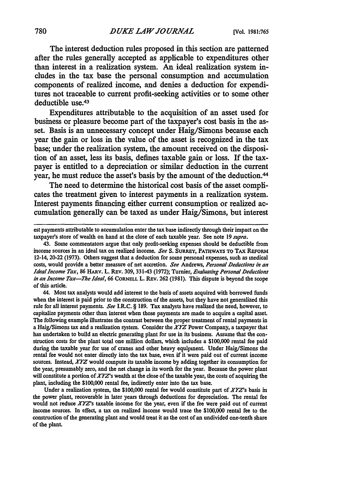The interest deduction rules proposed in this section are patterned after the rules generally accepted as applicable to expenditures other than interest in a realization system. An ideal realization system includes in the tax base the personal consumption and accumulation components of realized income, and denies a deduction for expenditures not traceable to current profit-seeking activities or to some other deductible use.<sup>43</sup>

Expenditures attributable to the acquisition of an asset used for business or pleasure become part of the taxpayer's cost basis in the asset. Basis is an unnecessary concept under Haig/Simons because each year the gain or loss in the value of the asset is recognized in the tax base; under the realization system, the amount received on the disposition of an asset, less its basis, defines taxable gain or loss. If the taxpayer is entitled to a depreciation or similar deduction in the current year, he must reduce the asset's basis **by** the amount of the deduction. <sup>44</sup>

The need to determine the historical cost basis of the asset complicates the treatment given to interest payments in a realization system. Interest payments financing either current consumption or realized accumulation generally can be taxed as under Haig/Simons, but interest

44. Most tax analysts would add interest to the basis of assets acquired with borrowed funds when the interest is paid prior to the construction of the assets, but they have not generalized this rule for all interest payments. *See* I.R.C. § 189. Tax analysts have realized the need, however, to capitalize payments other than interest when those payments are made to acquire a capital asset. The following example illustrates the contrast between the proper treatment of rental payments in a Haig/Simons tax and a realization system. Consider the *XYZ* Power Company, a taxpayer that has undertaken to build an electric generating plant for use in its business. Assume that the construction costs for the plant total one million dollars, which includes a \$100,000 rental fee paid during the taxable year for use of cranes and other heavy equipment. Under Haig/Simons the rental fee would not enter directly into the tax base, even if it were paid out of current income sources. Instead, *XYZ* would compute its taxable income by adding together its consumption for the year, presumably zero, and the net change in its worth for the year. Because the power plant will constitute a portion of *XYZ's* wealth at the close of the taxable year, the costs of acquiring the plant, including the \$100,000 rental fee, indirectly enter into the tax base.

Under a realization system, the \$100,000 rental fee would constitute part of *XYZ's* basis in the power plant, recoverable in later years through deductions for depreciation. The rental fee would not reduce *XYZ's* taxable income for the year, even if the fee were paid out of current income sources. **In effect,** a tax on realized income would trace the \$100,000 rental fee to the construction of the generating plant and would treat it as the cost of an undivided one-tenth share of the plant.

est payments attributable to accumulation enter the tax base indirectly through their impact on the taxpayer's store of wealth on hand at the close of each taxable year. See note **19** supra.

<sup>43.</sup> Some commentators argue that only profit-seeking expenses should be deductible from income sources in an ideal tax on realized income. *See* **S. SURREY, PATHWAYS TO** TAX **REFORM** 12-14, 20-22 (1973). Others suggest that a deduction for some personal expenses, such as medical costs, would provide a better measure of net accretion. *See* Andrews, *Personal Deductions in an Ideal Income Tax,* 86 HARv. L. REv. 309, 331-43 (1972); Turnier, *Evaluating Personal Deductions in an Income Tax-The Ideal,* **66 CORNELL** L. **REV.** 262 (1981). This dispute is beyond the scope of this article.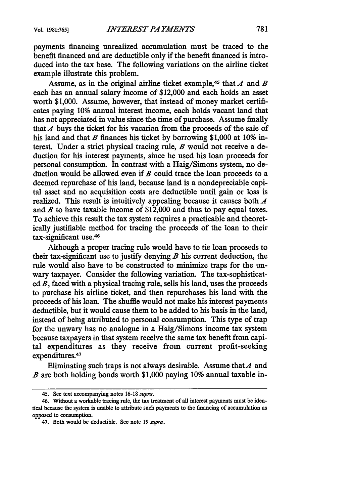payments financing unrealized accumulation must be traced to the benefit financed and are deductible only if the benefit financed is introduced into the tax base. The following variations on the airline ticket example illustrate this problem.

Assume, as in the original airline ticket example,<sup>45</sup> that  $A$  and  $B$ each has an annual salary income of \$12,000 and each holds an asset worth \$1,000. Assume, however, that instead of money market certificates paying 10% annual interest income, each holds vacant land that has not appreciated in value since the time of purchase. Assume finally that  $\vec{A}$  buys the ticket for his vacation from the proceeds of the sale of his land and that *B* finances his ticket by borrowing \$1,000 at 10% interest. Under a strict physical tracing rule, *B* would not receive a deduction for his interest payments, since he used his loan proceeds for personal consumption. In contrast with a Haig/Simons system, no deduction would be allowed even if *B* could trace the loan proceeds to a deemed repurchase of his land, because land is a nondepreciable capital asset and no acquisition costs are deductible until gain or loss is realized. This result is intuitively appealing because it causes both *A* and *B* to have taxable income of \$12,000 and thus to pay equal taxes. To achieve this result the tax system requires a practicable and theoretically justifiable method for tracing the proceeds of the loan to their tax-significant use.<sup>46</sup>

Although a proper tracing rule would have to tie loan proceeds to their tax-significant use to justify denying  $B$  his current deduction, the rule would also have to be constructed to minimize traps for the unwary taxpayer. Consider the following variation. The tax-sophisticated *B,* faced with a physical tracing rule, sells his land, uses the proceeds to purchase his airline ticket, and then repurchases his land with the proceeds of his loan. The shuffle would not make his interest payments deductible, but it would cause them to be added to his basis in the land, instead of being attributed to personal consumption. This type of trap for the unwary has no analogue in a Haig/Simons income tax system because taxpayers in that system receive the same tax benefit from capital expenditures as they receive from current profit-seeking expenditures.<sup>47</sup>

Eliminating such traps is not always desirable. Assume that  $A$  and *B* are both holding bonds worth \$1,000 paying 10% annual taxable in-

<sup>45.</sup> See text accompanying notes 16-18 *supra.*

<sup>46.</sup> Without a workable tracing rule, the tax treatment of all interest payments must be identical because the system is unable to attribute such payments to the financing of accumulation as opposed to consumption.

<sup>47.</sup> Both would be deductible. See note 19 *supra.*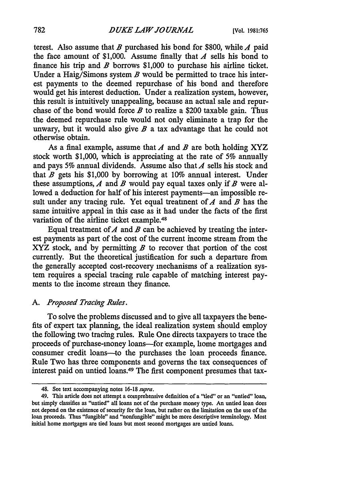terest. Also assume that *B* purchased his bond for \$800, while *A* paid the face amount of \$1,000. Assume finally that *A* sells his bond to finance his trip and *B* borrows \$1,000 to purchase his airline ticket. Under a Haig/Simons system *B* would be permitted to trace his interest payments to the deemed repurchase of his bond and therefore would get his interest deduction. Under a realization system, however, this result is intuitively unappealing, because an actual sale and repurchase of the bond would force *B* to realize a \$200 taxable gain. Thus the deemed repurchase rule would not only eliminate a trap for the unwary, but it would also give  $B$  a tax advantage that he could not otherwise obtain.

As a final example, assume that *A* and *B* are both holding XYZ stock worth \$1,000, which is appreciating at the rate of **5%** annually and pays **5%** annual dividends. Assume also that *A* sells his stock and that *B* gets his \$1,000 **by** borrowing at 10% annual interest. Under these assumptions, *A* and *B* would pay equal taxes only if *B* were allowed a deduction for half of his interest payments—an impossible result under any tracing rule. Yet equal treatment of A and *B* has the same intuitive appeal in this case as it had under the facts of the first variation of the airline ticket example.<sup>48</sup>

Equal treatment of  $A$  and  $B$  can be achieved by treating the interest payments as part of the cost of the current income stream from the XYZ stock, and **by** permitting *B* to recover that portion of the cost currently. But the theoretical justification for such a departure from the generally accepted cost-recovery mechanisms of a realization system requires a special tracing rule capable of matching interest payments to the income stream they finance.

## *A. Proposed Tracing Rules.*

To solve the problems discussed and to give all taxpayers the benefits of expert tax planning, the ideal realization system should employ the following two tracing rules. Rule One directs taxpayers to trace the proceeds of purchase-money loans-for example, home mortgages and consumer credit loans--to the purchases the loan proceeds finance. Rule Two has three components and governs the tax consequences of interest paid on untied loans.49 The first component presumes that tax-

<sup>48.</sup> See text accompanying notes 16-18 supra.

<sup>49.</sup> This article does not attempt a comprehensive definition of a "tied" or an "untied" loan, but simply classifies as "untied" all loans not of the purchase money type. An untied loan does not depend on the existence of security for the loan, but rather on the limitation on the use of the loan proceeds. Thus "fungible" and "nonfungible" might be more descriptive terminology. Most initial home mortgages are tied loans but most second mortgages are untied loans.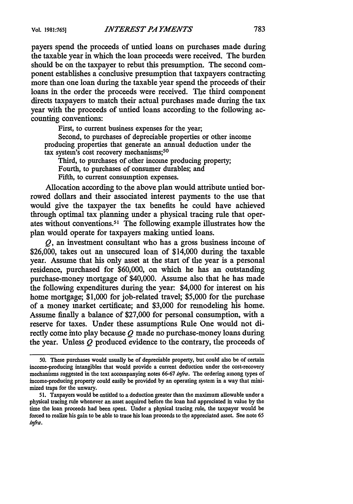payers spend the proceeds of untied loans on purchases made during the taxable year in which the loan proceeds were received. The burden should be on the taxpayer to rebut this presumption. The second component establishes a conclusive presumption that taxpayers contracting more than one loan during the taxable year spend the proceeds of their loans in the order the proceeds were received. The third component directs taxpayers to match their actual purchases made during the tax year with the proceeds of untied loans according to the following accounting conventions:

First, to current business expenses for the year,

Second, to purchases of depreciable properties or other income producing properties that generate an annual deduction under the tax system's cost recovery mechanisms;<sup>50</sup>

Third, to purchases of other income producing property; Fourth, to purchases of consumer durables; and Fifth, to current consumption expenses.

Allocation according to the above plan would attribute untied borrowed dollars and their associated interest payments to the use that would give the taxpayer the tax benefits he could have achieved through optimal tax planning under a physical tracing rule that operates without conventions.5' The following example illustrates how the plan would operate for taxpayers making untied loans.

*Q,* an investment consultant who has a gross business income of \$26,000, takes out an unsecured loan of \$14,000 during the taxable year. Assume that his only asset at the start of the year is a personal residence, purchased for \$60,000, on which he has an outstanding purchase-money mortgage of \$40,000. Assume also that he has made the following expenditures during the year: \$4,000 for interest on his home mortgage; \$1,000 for job-related travel; \$5,000 for the purchase of a money market certificate; and \$3,000 for remodeling his home. Assume finally a balance of \$27,000 for personal consumption, with a reserve for taxes. Under these assumptions Rule One would not directly come into play because *Q* made no purchase-money loans during the year. Unless  $Q$  produced evidence to the contrary, the proceeds of

**<sup>50.</sup>** These purchases would usually be of depreciable property, but could also be of certain income-producing intangibles that would provide a current deduction under the cost-recovery mechanisms suggested in the text accompanying notes **66-67** infra. The ordering among types of income-producing property could easily be provided **by** an operating system in a way that minimized traps for the unwary.

<sup>51.</sup> Taxpayers would be entitled to a deduction greater than the maximum allowable under a physical tracing rule whenever an asset acquired before the loan had appreciated in value **by** the time the loan proceeds had been spent. Under a physical tracing rule, the taxpayer would be forced to realize his gain to be able to trace his loan proceeds to the appreciated asset. See note 65 infra.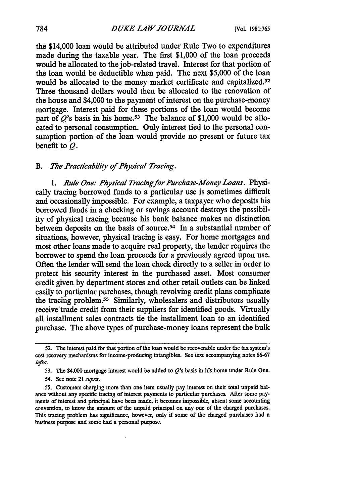the \$14,000 loan would be attributed under Rule Two to expenditures made during the taxable year. The first **\$1,000** of the loan proceeds would be allocated to the job-related travel. Interest for that portion of the loan would be deductible when paid. The next \$5,000 of the loan would be allocated to the money market certificate and capitalized.<sup>52</sup> Three thousand dollars would then be allocated to the renovation of the house and \$4,000 to the payment of interest on the purchase-money mortgage. Interest paid for these portions of the loan would become part of *Q*'s basis in his home.<sup>53</sup> The balance of \$1,000 would be allocated to personal consumption. Only interest tied to the personal consumption portion of the loan would provide no present or future tax benefit to *Q.*

### *B. The Practicability of Physical Tracing.*

*1. Rule One: Physical Tracingfor Purchase-Money Loans.* Physically tracing borrowed funds to a particular use is sometimes difficult and occasionally impossible. For example, a taxpayer who deposits his borrowed funds in a checking or savings account destroys the possibility of physical tracing because his bank balance makes no distinction between deposits on the basis of source.54 In a substantial number of situations, however, physical tracing is easy. For home mortgages and most other loans made to acquire real property, the lender requires the borrower to spend the loan proceeds for a previously agreed upon use. Often the lender will send the loan check directly to a seller in order to protect his security interest in the purchased asset. Most consumer credit given by department stores and other retail outlets can be linked easily to particular purchases, though revolving credit plans complicate the tracing problem. 55 Similarly, wholesalers and distributors usually receive'trade credit from their suppliers for identified goods. Virtually all installment sales contracts tie the installment loan to an identified purchase. The above types of purchase-money loans represent the bulk

54. See note 21 *supra.*

**55.** Customers charging more than one item usually pay interest on their total unpaid balance without any specific tracing of interest payments to particular purchases. After some payments of interest and principal have been made, it becomes impossible, absent some accounting convention, to know the amount of the unpaid principal on any one of the charged purchases. This tracing problem has significance, however, only if some of the charged purchases had a business purpose and some had a personal purpose.

**<sup>52.</sup>** The interest paid for that portion of the loan would **be** recoverable under the tax system's cost recovery mechanisms for income-producing intangibles. See text accompanying notes **66-67** infra.

<sup>53.</sup> The \$4,000 mortgage interest would be added to *Q's* basis in his home under Rule One.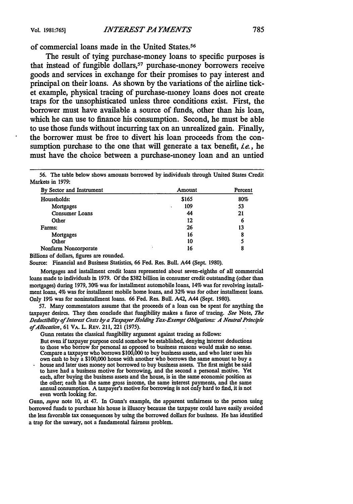of commercial loans made in the United States. <sup>56</sup>

The result of tying purchase-money loans to specific purposes is that instead of fungible dollars,<sup>57</sup> purchase-money borrowers receive goods and services in exchange for their promises to pay interest and principal on their loans. As shown **by** the variations of the airline ticket example, physical tracing of purchase-money loans does not create traps for the unsophisticated unless three conditions exist. First, the borrower must have available a source of funds, other than his loan, which he can use to finance his consumption. Second, he must be able to use those funds without incurring tax on an unrealized gain. Finally, the borrower must be free to divert his loan proceeds from the consumption purchase to the one that will generate a tax benefit, *ie.,* he must have the choice between a purchase-money loan and an untied

**56.** The table below shows amounts borrowed **by** individuals through United States Credit Markets in 1979:

| By Sector and Instrument | Amount        | Percent |  |  |
|--------------------------|---------------|---------|--|--|
| Households:              | \$165         | 80%     |  |  |
| Mortgages                | 109<br>$\sim$ | 53      |  |  |
| <b>Consumer Loans</b>    | 44            | 21      |  |  |
| Other                    | 12            | 6       |  |  |
| Farms:                   | 26            | 13      |  |  |
| Mortgages                | 16            | 8       |  |  |
| Other                    | 10            |         |  |  |
| Nonfarm Noncorporate     | 16            | 8       |  |  |

Billions of dollars, figures are rounded.

Source: Financial and Business Statistics, 66 Fed. Res. Bull. A44 (Sept. **1980).**

Mortgages and installment credit loans represented about seven-eighths of all commercial loans made to individuals in **1979. Of** the \$382 billion in consumer credit outstanding (other than mortgages) during 1979, 30% was for installment automobile loans, 14% was for revolving installment loans, 4% was for installment mobile home loans, and 32% was for other installment loans. Only 19% was for noninstallment loans. 66 Fed. Res. Bull. A42, A44 (Sept. 1980).

57. Many commentators assume that the proceeds of a loan can be spent for anything the taxpayer desires. They then conclude that fungibility makes a farce of tracing. *See* Note, *The* Deductibility of Interest Costs by a Taxpayer Holding Tax-Exempt Obligations: A Neutral Principle *ofAllocation,* 61 VA. L. REv. 211, 221 (1975).

Gunn restates the classical fungibility argument against tracing as follows: But even if taxpayer purpose could somehow be established, denying interest deductions to those who borrow for personal as opposed to business reasons would make no sense. Compare a taxpayer who borrows **\$100,000** to buy business assets, and who later uses his own cash to buy a \$100,000 house with another who borrows the same amount to buy a house and later uses money not borrowed to buy business assets. The first might be said to have had a business motive for borrowing, and the second a personal motive. Yet each, after buying the business assets and the house, is in the same economic position as

the other, each has the same gross income, the same interest payments, and the same annual consumption. A taxpayer's motive for borrowing is not only hard to find, it is not even worth looking for.

*Gunn, supra* note 10, at 47. In Gunn's example, the apparent unfairness to the person using borrowed funds to purchase his house is illusory because the taxpayer could have easily avoided the less favorable tax consequences by using the borrowed dollars for business. He has identified a trap for the unwary, not a fundamental fairness problem.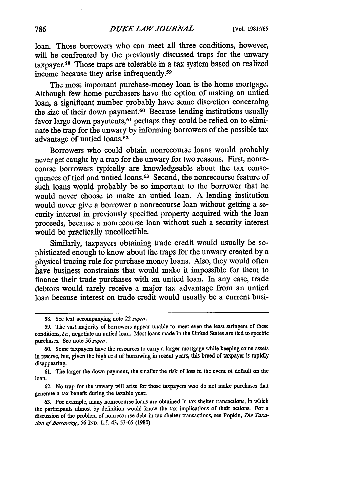loan. Those borrowers who can meet all three conditions, however, will be confronted by the previously discussed traps for the unwary taxpayer.<sup>58</sup> Those traps are tolerable in a tax system based on realized income because they arise infrequently.<sup>59</sup>

The most important purchase-money loan is the home mortgage. Although few home purchasers have the option of making an untied loan, a significant number probably have some discretion concerning the size of their down payment.60 Because lending institutions usually favor large down payments,<sup>61</sup> perhaps they could be relied on to eliminate the trap for the unwary by informing borrowers of the possible tax advantage of untied loans.62

Borrowers who could obtain nonrecourse loans would probably never get caught by a trap for the unwary for two reasons. First, nonreconrse borrowers typically are knowledgeable about the tax consequences of tied and untied loans.<sup>63</sup> Second, the nonrecourse feature of such loans would probably be so important to the borrower that he would never choose to make an untied loan. A lending institution would never give a borrower a nonrecourse loan without getting a security interest in previously specified property acquired with the loan proceeds, because a nonrecourse loan without such a security interest would be practically uncollectible.

Similarly, taxpayers obtaining trade credit would usually be sophisticated enough to know about the traps for the unwary created by a physical tracing rule for purchase money loans. Also, they would often have business constraints that would make it impossible for them to finance their trade purchases with an untied loan. In any case, trade debtors would rarely receive a major tax advantage from an untied loan because interest on trade credit would usually be a current busi-

**<sup>58.</sup>** See text accompanying note 22 *supra.*

<sup>59.</sup> The vast majority of borrowers appear unable to meet even the least stringent of these conditions, i.e., negotiate an untied loan. Most loans made in the United States are tied to specific purchases. See note 56 *supra.*

<sup>60.</sup> Some taxpayers have the resources to carry a larger mortgage while keeping some assets in reserve, but, given the high cost of borrowing in recent years, this breed of taxpayer is rapidly disappearing.

**<sup>61.</sup>** The larger the down payment, the smaller the risk of loss in the event of default on the loan.

<sup>62.</sup> No trap for the unwary will arise for those taxpayers who do not make purchases that generate a tax benefit during the taxable year.

<sup>63.</sup> For example, many nonrecourse loans are obtained in tax shelter transactions, in which the participants almost by definition would know the tax implications of their actions. For a discussion of the problem of nonrecourse debt in tax shelter transactions, see Popkin, *The Taxation of Borrowing,* 56 IND. **LJ.** 43, 53-65 (1980).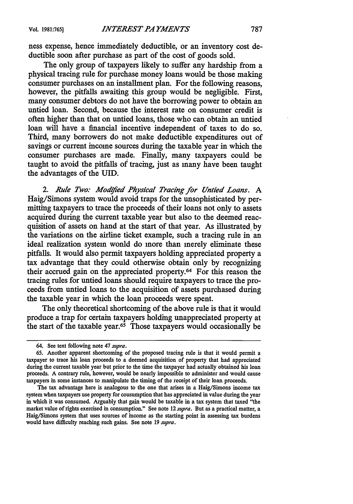ness expense, hence immediately deductible, or an inventory cost deductible soon after purchase as part of the cost of goods sold.

The only group of taxpayers likely to suffer any hardship from a physical tracing rule for purchase money loans would be those making consumer purchases on an installment plan. For the following reasons, however, the pitfalls awaiting this group would be negligible. First, many consumer debtors do not have the borrowing power to obtain an untied loan. Second, because the interest rate on consumer credit is often higher than that on untied loans, those who can obtain an untied loan will have a financial incentive independent of taxes to do so. Third, many borrowers do not make deductible expenditures out of savings or current income sources during the taxable year in which the consumer purchases are made. Finally, many taxpayers could be taught to avoid the pitfalls of tracing, just as many have been taught the advantages of the UID.

2. Rule Two: Modified Physical Tracing for Untied Loans. A Haig/Simons system would avoid traps for the unsophisticated by permitting taxpayers to trace the proceeds of their loans not only to assets acquired during the current taxable year but also to the deemed reacquisition of assets on hand at the start of that year. As illustrated by the variations on the airline ticket example, such a tracing rule in an ideal realization system wonld do more than merely eliminate these pitfalls. It would also permit taxpayers holding appreciated property a tax advantage that they could otherwise obtain only by recognizing their accrued gain on the appreciated property. 64 For this reason the tracing rules for untied loans should require taxpayers to trace the proceeds from untied loans to the acquisition of assets purchased during the taxable year in which the loan proceeds were spent.

The only theoretical shortcoming of the above rule is that it would produce a trap for certain taxpayers holding unappreciated property at the start of the taxable year. $65$  Those taxpayers would occasionally be

<sup>64.</sup> See text following note 47 *supra.*

<sup>65.</sup> Another apparent shortcoming of the proposed tracing rule is that it would permit a taxpayer to trace his loan proceeds to a deemed acquisition of property that had appreciated during the current taxable year but prior to the time the taxpayer had actually obtained his loan proceeds. **A** contrary rule, however, would be nearly impossible to administer and would cause taxpayers in some instances to manipulate the timing of the receipt of their loan proceeds.

The tax advantage here is analogous to the one that arises in a Haig/Simons income tax system when taxpayers use property for consumption that has appreciated in value during the year in which it was consumed. Arguably that gain would be taxable in a tax system that taxed "the market value of rights exercised in consumption." See note 12 *supra.* But as a practical matter, a Haig/Simons system that uses sources of income as the starting point in assessing tax burdens would have difficulty reaching such gains. See note 19 *supra.*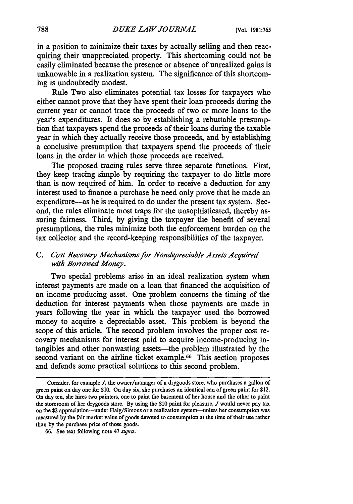in a position to minimize their taxes by actually selling and then reacquiring their unappreciated property. This shortcoming could not be easily eliminated because the presence or absence of unrealized gains is unknowable in a realization system. The significance of this shortcoming is undoubtedly modest.

Rule Two also eliminates potential tax losses for taxpayers who either cannot prove that they have spent their loan proceeds during the current year or cannot trace the proceeds of two or more loans to the year's expenditures. It does so by establishing a rebuttable presumption that taxpayers spend the proceeds of their loans during the taxable year in which they actually receive those proceeds, and by establishing a conclusive presumption that taxpayers spend the proceeds of their loans in the order in which those proceeds are received.

The proposed tracing rules serve three separate functions. First, they keep tracing simple by requiring the taxpayer to do little more than is now required of him. In order to receive a deduction for any interest used to finance a purchase he need only prove that he made an expenditure-as he is required to do under the present tax system. Second, the rules eliminate most traps for the unsophisticated, thereby assuring fairness. Third, by giving the taxpayer the benefit of several presumptions, the rules minimize both the enforcement burden on the tax collector and the record-keeping responsibilities of the taxpayer.

# *C. Cost Recovery Mechanisms for Nondepreciable Assets Acquired with Borrowed Money.*

Two special problems arise in an ideal realization system when interest payments are made on a loan that financed the acquisition of an income producing asset. One problem concerns the timing of the deduction for interest payments when those payments are made in years following the year in which the taxpayer used the borrowed money to acquire a depreciable asset. This problem is beyond the scope of this article. The second problem involves the proper cost recovery mechanisms for interest paid to acquire income-producing intangibles and other nonwasting assets—the problem illustrated by the second variant on the airline ticket example.<sup>66</sup> This section proposes and defends some practical solutions to this second problem.

Consider, for example *J,* the owner/manager of a drygoods store, who purchases a gallon of green paint on day one for \$10. On day six, she purchases an identical can of green paint for \$12. On day ten, she hires two painters, one to paint the basement of her house and the other to paint the storeroom of her drygoods store. By using the \$10 paint for pleasure, *J* would never pay tax on the \$2 appreciation-under Haig/Simons or a realization system-unless her consumption was measured by the fair market value of goods devoted to consumption at the time of their use rather than **by** the purchase price of those goods.

<sup>66.</sup> See text following note 47 *supra.*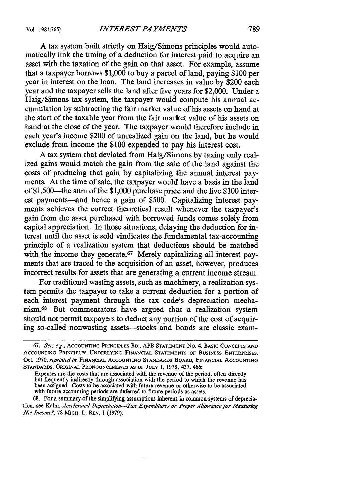A tax system built strictly on Haig/Simons principles would automatically link the timing of a deduction for interest paid to acquire an asset with the taxation of the gain on that asset. For example, assume that a taxpayer borrows \$1,000 to buy a parcel of land, paying \$100 per year in interest on the loan. The land increases in value by \$200 each year and the taxpayer sells the land after five years for \$2,000. Under a Haig/Simons tax system, the taxpayer would compute his annual accumulation by subtracting the fair market value of his assets on hand at the start of the taxable year from the fair market value of his assets on hand at the close of the year. The taxpayer would therefore include in each year's income \$200 of unrealized gain on the land, but he would exclude from income the \$100 expended to pay his interest cost.

A tax system that deviated from Haig/Simons by taxing only realized gains would match the gain from the sale of the land against the costs of producing that gain by capitalizing the annual interest payments. At the time of sale, the taxpayer would have a basis in the land of \$1,500-the sum of the \$1,000 purchase price and the five \$100 interest payments-and hence a gain of \$500. Capitalizing interest payments achieves the correct theoretical result whenever the taxpayer's gain from the asset purchased with borrowed funds comes solely from capital appreciation. In those situations, delaying the deduction for interest until the asset is sold vindicates the fundamental tax-accounting principle of a realization system that deductions should be matched with the income they generate.<sup>67</sup> Merely capitalizing all interest payments that are traced to the acquisition of an asset, however, produces incorrect results for assets that are generating a current income stream.

For traditional wasting assets, such as machinery, a realization system permits the taxpayer to take a current deduction for a portion of each interest payment through the tax code's depreciation mechanism. 68 But commentators have argued that a realization system should not permit taxpayers to deduct any portion of the cost of acquiring so-called nonwasting assets-stocks and bonds are classic exam-

68. For a summary of the simplifying assumptions inherent in common systems of depreciation, see Kahn, *Accelerated Depreciation-Tax Expenditures or Proper Allowance for Measuring Net Income?,* 78 MICH. L. REv. 1 (1979).

*<sup>67.</sup> See, e.g.,* ACCOUNTING PRINCIPLES BD., APB **STATEMENT No.** 4, **BASIC CONCEPTS AND ACCOUNTING** PRINCIPLES **UNDERLYING FINANCIAL STATEMENTS** OF BUSINESS **ENTERPRISES,** Oct. **1970,** *reprinted in* **FINANCIAL ACCOUNTING** STANDARDS BOARD, **FINANCIAL ACCOUNTING STANDARDS, ORIGINAL PRONOUNCEMENTS AS** OF **JULY 1, 1978,** 437, 466:

Expenses are the costs that are associated with the revenue of the period, often directly but frequently indirectly through association with the period to which the revenue has been assigned. Costs to be associated with future revenue or otherwise to be associated with future accounting periods are deferred to future periods as assets.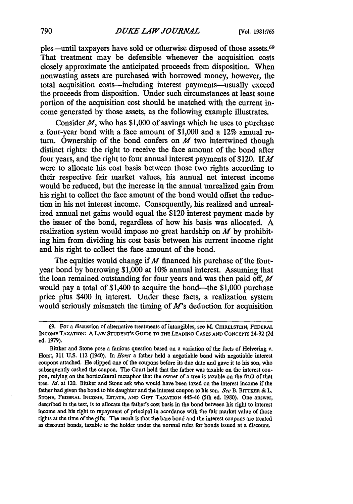pies-until taxpayers have sold or otherwise disposed of those assets.69 That treatment may be defensible whenever the acquisition costs closely approximate the anticipated proceeds from disposition. When nonwasting assets are purchased with borrowed money, however, the total acquisition costs—including interest payments—usually exceed the proceeds from disposition. Under such circumstances at least some portion of the acquisition cost should be matched with the current income generated **by** those assets, as the following example illustrates.

Consider *M,* who has **\$1,000** of savings which he uses to purchase a four-year bond with a face amount of **\$1,000** and a 12% annual return. Ownership of the bond confers on  $M$  two intertwined though distinct rights: the right to receive the face amount of the bond after four years, and the right to four annual interest payments of \$120. **If** *M* were to allocate his cost basis between those two rights according to their respective fair market values, his annual net interest income would be reduced, but the increase in the annual unrealized gain from his right to collect the face amount of the bond would offset the reduction in his net interest income. Consequently, his realized and unrealized annual net gains would equal the \$120 interest payment made by the issuer of the bond, regardless of how his basis was allocated. **A** realization system would impose no great hardship on *M* **by** prohibiting him from dividing his cost basis between his current income right and his right to collect the face amount of the bond.

The equities would change if *M* financed his purchase of the fouryear bond **by** borrowing **\$1,000** at **10%** annual interest. Assuming that the loan remained outstanding for four years and was then paid off, *M* would pay a total of \$1,400 to acquire the bond—the \$1,000 purchase price plus \$400 in interest. Under these facts, a realization system would seriously mismatch the timing of *M's* deduction for acquisition

**<sup>69.</sup>** For a discussion of alternative treatments of intangibles, see M. CHIRELSTEIN, FEDERAL INCOME TAXATION: A LAW STUDENT'S GUIDE TO **THE LEADING CASES AND CONCEPTS** 24-32 **(2d** ed. **1979).**

Bittker and Stone pose a fanious question based on a variation of the facts of Helvering **v.** Horst, 311 U.S. 112 (1940). In *Horst* a father held a negotiable bond with negotiable interest coupons attached. He clipped one of the coupons before its due date and gave it to his son, who subsequently cashed the coupon. The Court held that the father was taxable on the interest coupon, relying on the horticultural metaphor that the owner of a tree is taxable on the fruit of that tree. *Id.* at 120. Bittker and Stone ask who would have been taxed on the interest income if the father had given the bond to his daughter and the interest coupon to his son. *See* B. **BITTKER &** L. **STONE, FEDERAL INCOME, ESTATE, AND GIFT** TAxATION 445-46 (5th ed. **1980).** One answer, described in the text, is to allocate the father's cost basis in the bond between his right to interest income and his right to repayment of principal in acordance with the fair market value of those rights at the time of the gifts. The result is that the bare bond and the interest coupons are treated as discount bonds, taxable to the holder under the normal rules for bonds issued at a discount.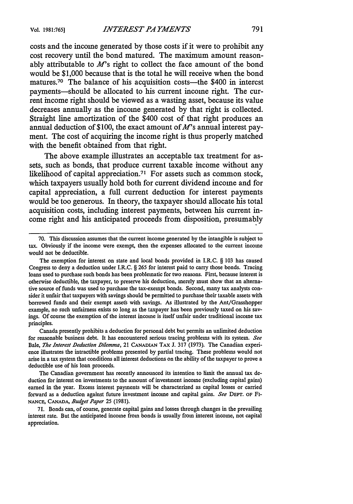costs and the income generated **by** those costs if it were to prohibit any cost recovery until the bond matured. The maximum amount reasonably attributable to *M's* right to collect the face amount of the bond would be **\$1,000** because that is the total he will receive when the bond matures.<sup>70</sup> The balance of his acquisition costs—the \$400 in interest payments-should be allocated to his current income right. The current income right should be viewed as a wasting asset, because its value decreases annually as the income generated **by** that right is collected. Straight line amortization of the \$400 cost of that right produces an annual deduction of **\$100,** the exact amount of *M's* annual interest payment. The cost of acquiring the income right is thus properly matched with the benefit obtained from that right.

The above example illustrates an acceptable tax treatment for assets, such as bonds, that produce current taxable income without any likelihood of capital appreciation.<sup>71</sup> For assets such as common stock, which taxpayers usually hold both for current dividend income and for capital appreciation, a full current deduction for interest payments would be too generous. In theory, the taxpayer should allocate his total acquisition costs, including interest payments, between his current income right and his anticipated proceeds from disposition, presumably

Canada presently prohibits a deduction for personal debt but permits an unlimited deduction for reasonable business debt. It has encountered serious tracing problems with its system. *See* Bale, *The Interest Deduction Dilemma,* 21 **CANADIAN** TAX J. 317 (1973). The Canadian experience illustrates the intractible problems presented by partial tracing. These problems would not arise in a tax system that conditions all interest deductions on the ability of the taxpayer to prove a deductible use of his loan proceeds.

The Canadian government has recently announced its intention to limit the annual tax deduction for interest on investments to the amount of investment income (excluding capital gains) earned in the year. Excess interest payments will be characterized as capital losses or carried forward as a deduction against future investment income and capital gains. *See* **DEPT.** OF Fi-**NANCE, CANADA,** *Budget Paper* 25 **(1981).**

71. Bonds can, of course, generate capital gains and losses through changes in the prevailing interest rate. But the anticipated income from bonds is usually from interest income, not capital appreciation.

**<sup>70.</sup>** This discussion assumes that the current income generated **by** the intangible is subject to tax. Obviously if the income were exempt, then the expenses allocated to the current income would not be deductible.

The exemption for interest on state and local bonds provided in I.R.C. § 103 has caused Congress to deny a deduction under I.R.C. § 265 for interest paid to carry those bonds. Tracing loans used to purchase such bonds has been problematic for two reasons. First, because interest is otherwise deductible, the taxpayer, to preserve his deduction, merely must show that an alternative source of funds was used to purchase the tax-exempt bonds. Second, many tax analysts consider it unfair that taxpayers with savings should be permitted to purchase their taxable assets with borrowed funds and their exempt assets with savings. As illustrated by the Ant/Grasshopper example, no such unfairness exists so long as the taxpayer has been previously taxed on his savings. Of course the exemption of the interest income is itself unfair under traditional income tax principles.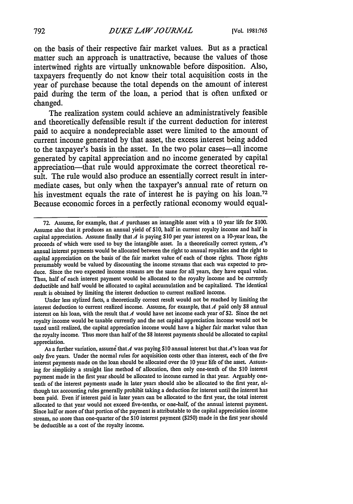on the basis of their respective fair market values. But as a practical matter such an approach is unattractive, because the values of those intertwined rights are virtually unknowable before disposition. Also, taxpayers frequently do not know their total acquisition costs in the year of purchase because the total depends on the amount of interest paid during the term of the loan, a period that is often unfixed or changed.

The realization system could achieve an administratively feasible and theoretically defensible result if the current deduction for interest paid to acquire a nondepreciable asset were limited to the amount of current income generated **by** that asset, the excess interest being added to the taxpayer's basis in the asset. In the two polar cases-all income generated **by** capital appreciation and no income generated **by** capital appreciation—that rule would approximate the correct theoretical result. The rule would also produce an essentially correct result in intermediate cases, but only when the taxpayer's annual rate of return on his investment equals the rate of interest he is paying on his loan.<sup>72</sup> Because economic forces in a perfectly rational economy would equal-

Under less stylized facts, a theoretically correct result would not be reached by limiting the interest deduction to current realized income. Assume, for example, that  $A$  paid only \$8 annual interest on his loan, with the result that *A* would have net income each year of \$2. Since the net royalty income would be taxable currently and the net capital appreciation income would not be taxed until realized, the capital appreciation income would have a higher fair market value than the royalty income. Thus more than half of the \$8 interest payments should be allocated to capital appreciation.

As a further variation, assume that A was paying \$10 annual interest but that A's loan was for only five years. Under the normal rules for acquisition costs other than interest, each of the five interest payments made on the loan should be allocated over the 10 year life of the asset. Assuming for simplicity a straight line method of allocation, then only one-tenth of the \$10 interest payment made in the first year should be allocated to income earned in that year. Arguably onetenth of the interest payments made in later years should also be allocated to the first year, although tax accounting rules generally prohibit taking a deduction for interest until the interest has been paid. Even if interest paid in later years can be allocated to the first year, the total interest allocated to that year would not exceed five-tenths, or one-half, of the annual interest payment. Since half or more of that portion of the payment is attributable to the capital appreciation income stream, no more than one-quarter of the \$10 interest payment (\$250) made in the first year should be deductible as a cost of the royalty income.

**<sup>72.</sup>** Assume, for example, that *A* purchases an intangible asset with a 10 year life for \$100. Assume also that it produces an annual yield of \$10, half in current royalty income and half in capital appreciation. Assume finally that *A* is paying **\$10** per year interest on a 10-year loan, the proceeds of which were used to buy the intangible asset. In a theoretically correct system,  $A$ 's annual interest payments would be allocated between the right to annual royalties and the right to capital appreciation on the basis of the fair market value of each of those rights. Those rights presumably would be valued by discounting the income streams that each was expected to produce. Since the two expected income streams are the same for all years, they have equal value. Thus, half of each interest payment would be allocated to the royalty income and be currently deductible and half would be allocated to capital accumulation and be capitalized. The identical result is obtained by limiting the interest deduction to current realized income.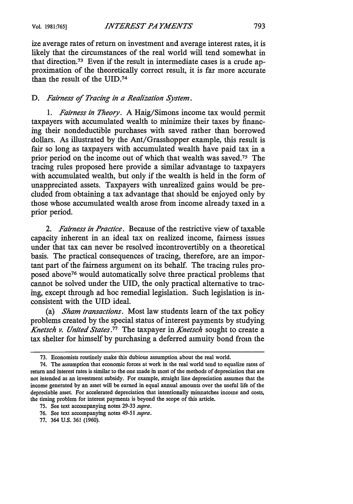ize average rates of return on investment and average interest rates, it is likely that the circumstances of the real world will tend somewhat in that direction.73 Even if the result in intermediate cases is a crude approximation of the theoretically correct result, it is far more accurate than the result of the UID.<sup>74</sup>

## *D. Fairness of Tracing in a Realization System.*

*1. Fairness in Theory.* A Haig/Simons income tax would permit taxpayers with accumulated wealth to minimize their taxes by financing their nondeductible purchases with saved rather than borrowed dollars. As illustrated by the Ant/Grasshopper example, this result is fair so long as taxpayers with accumulated wealth have paid tax in a prior period on the income out of which that wealth was saved.75 The tracing rules proposed here provide a similar advantage to taxpayers with accumulated wealth, but only if the wealth is held in the form of unappreciated assets. Taxpayers with unrealized gains would be precluded from obtaining a tax advantage that should be enjoyed only by those whose accumulated wealth arose from income already taxed in a prior period.

*2. Fairness in Practice.* Because of the restrictive view of taxable capacity inherent in an ideal tax on realized income, fairness issues under that tax can never be resolved incontrovertibly on a theoretical basis. The practical consequences of tracing, therefore, are an important part of the fairness argument on its behalf. The tracing rules proposed above<sup>76</sup> would automatically solve three practical problems that cannot be solved under the UID, the only practical alternative to tracing, except through ad hoc remedial legislation. Such legislation is inconsistent with the UID ideal.

(a) *Sham transactions.* Most law students learn of the tax policy problems created by the special status of interest payments by studying *Knetsch v. United States.77* The taxpayer in *Knetsch* sought to create a tax shelter for himself by purchasing a deferred annuity bond from the

<sup>73.</sup> Economists routinely make this dubious assumption about the real world.

<sup>74.</sup> The assumption that economic forces at work in the real world tend to equalize rates of return and interest rates is similar to the one made in most of the methods of depreciation that are not intended as an investment subsidy. For example, straight line depreciation assumes that the income generated by an asset will be earned in equal annual amounts over the useful life of the depreciable asset. For accelerated depreciation that intentionally mismatches income and costs, the timing problem for interest payments is beyond the scope of this article.

<sup>75.</sup> See text accompanying notes 29-33 *supra.*

<sup>76.</sup> See text accompanying notes 49-51 *supra.*

<sup>77. 364</sup> U.S. 361 (1960).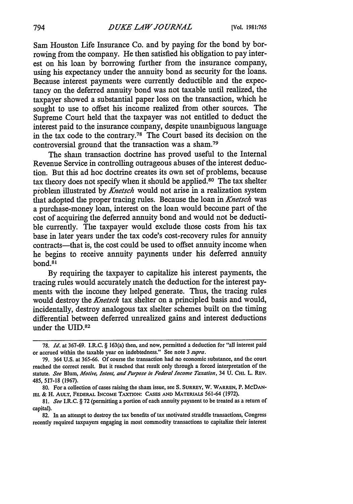Sam Houston Life Insurance Co. and by paying for the bond by borrowing from the company. He then satisfied his obligation to pay interest on his loan by borrowing further from the insurance company, using his expectancy under the annuity bond as security for the loans. Because interest payments were currently deductible and the expectancy on the deferred annuity bond was not taxable until realized, the taxpayer showed a substantial paper loss on the transaction, which he sought to use to offset his income realized from other sources. The Supreme Court held that the taxpayer was not entitled to deduct the interest paid to the insurance company, despite unambiguous language in the tax code to the contrary.78 The Court based its decision on the controversial ground that the transaction was a sham.<sup>79</sup>

The sham transaction doctrine has proved useful to the Internal Revenue Service in controlling outrageous abuses of the interest deduction. But this ad hoc doctrine creates its own set of problems, because tax theory does not specify when it should be applied. 80 The tax shelter problem illustrated by *Knetsch* would not arise in a realization system that adopted the proper tracing rules. Because the loan in *Knetsch* was a purchase-money loan, interest on the loan would become part of the cost of acquiring the deferred annuity bond and would not be deductible currently. The taxpayer would exclude those costs from his tax base in later years under the tax code's cost-recovery rules for annuity contracts-that is, the cost could be used to offset annuity income when he begins to receive annuity payments under his deferred annuity bond.8'

By requiring the taxpayer to capitalize his interest payments, the tracing rules would accurately match the deduction for the interest payments with the income they helped generate. Thus, the tracing rules would destroy the *Knetsch* tax shelter on a principled basis and would, incidentally, destroy analogous tax shelter schemes built on the timing differential between deferred unrealized gains and interest deductions under the UID.<sup>82</sup>

82. In an attempt to destroy the tax benefits of tax motivated straddle transactions, Congress recently required taxpayers engaging in most commodity transactions to capitalize their interest

<sup>78.</sup> *Id.* at 367-69. I.R.C. § 163(a) then, and now, permitted a deduction for "all interest paid or accrued within the taxable year on indebtedness." See note **3** supra.

**<sup>79.</sup>** 364 **U.S.** at **365-66.** Of course the transaction had no economic substance, and the court reached the correct result. But it reached that result only through a forced interpretation of the statute. *See* Blum, *Motive, Intent, and Purpose in Federal Income Taxation,* 34 **U.** CHI. L. **REV.** 485, 517-18 (1967).

<sup>80.</sup> For a collection of cases raising the sham issue, see **S. SURREY,** W. WARREN, P. McDAN-IEL & H. AULT, FEDERAL INCOME TAXTION: CASES AND MATERIALS 561-64 (1972).

<sup>81.</sup> *See* I.R.C. § 72 (permitting a portion of each annuity payment to be treated as a return of capital).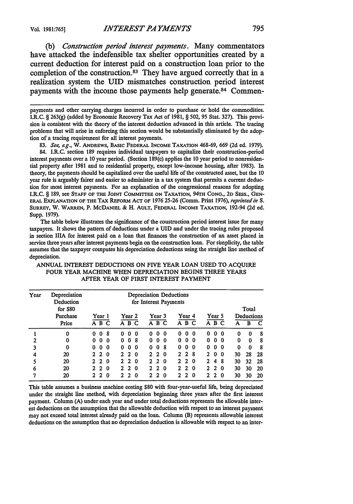*(b) Construction period interest payments.* Many commentators have attacked the indefensible tax shelter opportunities created **by** a current deduction for interest paid on a construction loan prior to the completion of the construction. 83 They have argued correctly that in a realization system the UID mismatches construction period interest payments with the income those payments help generate.<sup>84</sup> Commen-

payments and other carrying charges incurred in order to purchase or hold the commodities. I.R.C. § 263(g) (added by Economic Recovery Tax Act of 1981, § 502, 95 Stat. 327). This provision is consistent with the theory of the interest deduction advanced in this article. The tracing problems that will arise in enforcing this section would be substantially eliminated by the adoption of a tracing requirement for all interest payments.

83. *See, e.g.,* W. ANDREWS, BASIC **FEDERAL INCOME TAXATION** 468-69, 669 (2d ed. 1979).

84. I.R.C. section 189 requires individual taxpayers to capitalize their construction-period interest payments over a 10 year period. (Section 189(c) applies the 10 year period to nonresidential property after 1981 and to residential property, except low-income housing, after 1983). In theory, the payments should be capitalized over the useful life of the constructed asset, but the 10 year rule is arguably fairer and easier to administer in a tax system that permits a current deduction for most interest payments. For an explanation of the congressional reasons for adopting I.R.C. § 189, see **STAFF** OF **THE JOINT COMMITTEE ON** TAXATION, **94TH CONG., 2D SESS., GEN-**ERAL **EXPLANATION OF THE** TAX REFORM ACT OF **1976** 25-26 (Comm. Print 1976), *reprinted in S.* **SURREY,** W. WARREN, P. MCDANIEL **&** H. **AULT,** FEDERAL **INCOME TAXATION,** 192-94 (2d ed. Supp. 1979).

The table below illustrates the significance of the construction period interest issue for many taxpayers. It shows the pattern of deductions under a UID and under the tracing rules proposed in section IIIA for interest paid on a loan that finances the construction of an asset placed in service three years after interest payments begin on the construction loan. For simplicity, the table assumes that the taxpayer computes his depreciation deductions using the straight line method of depreciation.

| Year           | Depreciation<br>Deduction     |                        | Depreciation Deductions<br>for Interest Payments |                                                    |                                     |                                    |    |                          |         |
|----------------|-------------------------------|------------------------|--------------------------------------------------|----------------------------------------------------|-------------------------------------|------------------------------------|----|--------------------------|---------|
|                | for \$80<br>Purchase<br>Price | Year 1<br>ABC          | Year 2<br>A B C                                  | Year 3<br>A B C                                    | Year 4<br>$\overline{A}$ B C        | Year 5<br>A B C                    | А  | Total<br>Deductions<br>в | C       |
|                | 0                             | 0<br>8<br>0            | 0<br>0<br>0                                      | 0<br>0<br>0                                        | 0<br>0<br>0                         | 0<br>0<br>-0                       | 0  | 0                        |         |
| $\overline{2}$ | 0                             | 0<br>0<br>0            | 8<br>0<br>0                                      | $\mathbf{0}$<br>-0<br>0.                           | 0<br>0<br>0                         | $\bf{0}$<br>0<br>-0                | 0  | 0                        | -8<br>8 |
|                |                               |                        |                                                  | 0                                                  | 0                                   | $\bf{0}$<br>0                      |    |                          |         |
| 3              | 0                             | $\mathbf{0}$<br>0<br>0 | 0<br>0<br>$\bf{0}$                               | $\bf{0}$<br>-8                                     | 0<br>0                              | - 0                                | 0  | $\Omega$                 | 8       |
| 4              | 20                            | $2\,2$<br>$\bf{0}$     | $2\,2$<br>$\bf{0}$                               | 2 <sub>2</sub><br>0                                | 28<br>$\mathbf{2}$                  | 0<br>$\mathcal{L}$<br>$\mathbf{0}$ | 30 | 28                       | 28      |
| 5              | 20                            | $2\,2$<br>$\bf{0}$     | $2\quad 2$<br>0                                  | 2 <sub>2</sub><br>$\boldsymbol{0}$                 | $\mathbf{2}$<br>- 0<br>$\mathbf{2}$ | 2<br>-8<br>4                       | 30 | 32                       | 28      |
| 6              | 20                            | 22<br>0                | $\sim$ 2<br>0<br>2                               | $\mathbf{2}$<br>$\overline{2}$<br>$\boldsymbol{0}$ | $\overline{2}$<br>2<br>0            | $\overline{2}$<br>2<br>-0          | 30 | 30                       | 20      |
| 7              | 20                            | 2 <sub>2</sub><br>0    | $\overline{2}$<br>2.<br>$\bf{0}$                 | $\mathbf{2}$<br>2.<br>0                            | $\overline{2}$<br>2<br>0            | $\mathbf{2}$<br>2<br>$\Omega$      | 30 | 30                       | 20      |

#### ANNUAL INTEREST DEDUCTIONS ON FIVE YEAR LOAN USED TO ACQUIRE FOUR YEAR MACHINE WHEN DEPRECIATION BEGINS THREE YEARS AFTER YEAR OF FIRST INTEREST PAYMENT

This table assumes a business machine costing **\$80** with four-year-useful life, being depreciated under the straight line method, with depreciation beginning three years after the first interest payment. Column (A) under each year and under total deductions represents the allowable interest deductions on the assumption that the allowable deduction with respect to an interest payment may not exceed total interest already paid on the loan. Column (B) represents allowable interest deductions on the assumption that no depreciation deduction is allowable with respect to an inter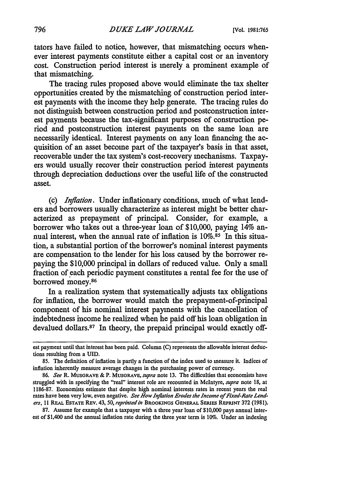tators have failed to notice, however, that mismatching occurs whenever interest payments constitute either a capital cost or an inventory cost. Construction period interest is merely a prominent example of that mismatching.

The tracing rules proposed above would eliminate the tax shelter opportunities created by the mismatching of construction period interest payments with the income they help generate. The tracing rules do not distinguish between construction period and postconstruction interest payments because the tax-significant purposes of construction period and postconstruction interest payments on the same loan are necessarily identical. Interest payments on any loan financing the acquisition of an asset become part of the taxpayer's basis in that asset, recoverable under the tax system's cost-recovery mechanisms. Taxpayers would usually recover their construction period interest payments through depreciation deductions over the useful life of the constructed asset.

(c) *Inflation.* Under inflationary conditions, much of what lenders and borrowers usually characterize as interest might be better characterized as prepayment of principal. Consider, for example, a borrower who takes out a three-year loan of \$10,000, paying 14% annual interest, when the annual rate of inflation is **10%.85** In this situation, a substantial portion of the borrower's nominal interest payments are compensation to the lender for his loss caused by the borrower repaying the \$10,000 principal in dollars of reduced value. Only a small fraction of each periodic payment constitutes a rental fee for the use of borrowed money.86

In a realization system that systematically adjusts tax obligations for inflation, the borrower would match the prepayment-of-principal component of his nominal interest payments with the cancellation of indebtedness income he realized when he paid off his loan obligation in devalued dollars.<sup>87</sup> In theory, the prepaid principal would exactly off-

87. Assume for example that a taxpayer with a three year loan of \$10,000 pays annual interest of \$1,400 and the annual inflation rate during the three year term is 10%. Under an indexing

est payment until that interest has been paid. Column **(C)** represents the allowable interest deductions resulting from a **UID.**

<sup>85.</sup> The definition of inflation is partly a function of the index used to measure it. Indices of inflation inherently measure average changes in the purchasing power of currency.

<sup>86.</sup> *See* R. **MUSGRAVE** & P. MUSGRAVE, *supra* note 13. The difficulties that economists have struggled with in specifying the "real" interest role are recounted in McIntyre, *supra* note 18, at 1186-87. Economists estimate that despite high nominal interests rates in recent years the real rates have been very low, even negative. *See How Inflation Erodes the Income of Fixed-Rate Lenders,* 11 **REAL** ESTATE REV. 43, 50, *reprinted in* BROOKINGS **GENERAL** SEIES **REPRINT 372** (1981).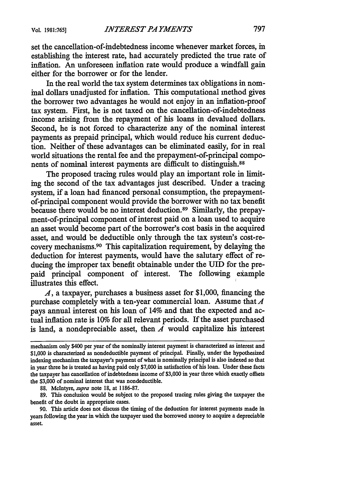set the cancellation-of-indebtedness income whenever market forces, in establishing the interest rate, had accurately predicted the true rate of inflation. An unforeseen inflation rate would produce a windfall gain either for the borrower or for the lender.

In the real world the tax system determines tax obligations in nominal dollars unadjusted for inflation. This computational method gives the borrower two advantages he would not enjoy in an inflation-proof tax system. First, he is not taxed on the cancellation-of-indebtedness income arising from the repayment of his loans in devalued dollars. Second, he is not forced to characterize any of the nominal interest payments as prepaid principal, which would reduce his current deduction. Neither of these advantages can be eliminated easily, for in real world situations the rental fee and the prepayment-of-principal components of nominal interest payments are difficult to distinguish.<sup>88</sup>

The proposed tracing rules would play an important role in limiting the second of the tax advantages just described. Under a tracing system, if a loan had financed personal consumption, the prepaymentof-principal component would provide the borrower with no tax benefit because there would be no interest deduction.<sup>89</sup> Similarly, the prepayment-of-principal component of interest paid on a loan used to acquire an asset would become part of the borrower's cost basis in the acquired asset, and would be deductible only through the tax system's cost-recovery mechanisms. 90 This capitalization requirement, by delaying the deduction for interest payments, would have the salutary effect of reducing the improper tax benefit obtainable under the UID for the prepaid principal component of interest. The following example illustrates this effect.

*A,* a taxpayer, purchases a business asset for \$1,000, financing the purchase completely with a ten-year commercial loan. Assume that *A* pays annual interest on his loan of 14% and that the expected and actual inflation rate is 10% for all relevant periods. If the asset purchased is land, a nondepreciable asset, then  $A$  would capitalize his interest

**88.** McIntyre, *supra* note 18, at 1186-87.

**89.** This conclusion would be subject to the proposed tracing rules giving the taxpayer the benefit of the doubt in appropriate cases.

mechanism only \$400 per year of the nominally interest payment is characterized as interest and \$1,000 is characterized as nondeductible payment of principal. Finally, under the hypothesized indexing mechanism the taxpayer's payment of what is nominally principal is also indexed so that in year three he is treated as having paid only **\$7,000** in satisfaction of his loan. Under these facts the taxpayer has cancellation of indebtedness income of \$3,000 in year three which exactly offsets the **\$3,000** of nominal interest that was nondeductible.

<sup>90.</sup> This article does not discuss the timing of the deduction for interest payments made in years following the year in which the taxpayer used the borrowed money to acquire a depreciable asset.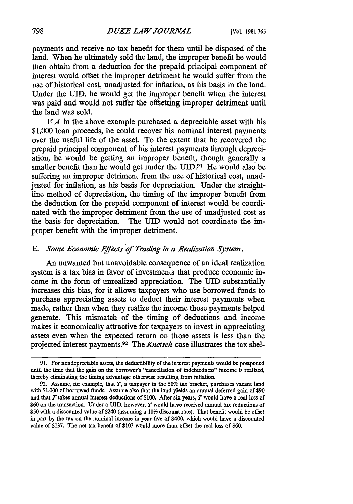payments and receive no tax benefit for them until he disposed of the land. When he ultimately sold the land, the improper benefit he would then obtain from a deduction for the prepaid principal component of interest would offset the improper detriment he would suffer from the use of historical cost, unadjusted for inflation, as his basis in the land. Under the UID, he would get the improper benefit when the interest was paid and would not suffer the offsetting improper detriment until the land was sold.

*IfA* in the above example purchased a depreciable asset with his \$1,000 loan proceeds, he could recover his nominal interest payments over the useful life of the asset. To the extent that he recovered the prepaid principal component of his interest payments through depreciation, he would be getting an improper benefit, though generally a smaller benefit than he would get imder the UID.<sup>91</sup> He would also be suffering an improper detriment from the use of historical cost, unadjusted for inflation, as his basis for depreciation. Under the straightline method of depreciation, the timing of the improper benefit from the deduction for the prepaid component of interest would be coordinated with the improper detriment from the use of unadjusted cost as the basis for depreciation. The UID would not coordinate the improper benefit with the improper detriment.

## *E. Some Economic Effects of Trading in a Realization System.*

An unwanted but unavoidable consequence of an ideal realization system is a tax bias in favor of investments that produce economic income in the form of unrealized appreciation. The UID substantially increases this bias, for it allows taxpayers who use borrowed funds to purchase appreciating assets to deduct their interest payments when made, rather than when they realize the income those payments helped generate. This mismatch of the timing of deductions and income makes it economically attractive for taxpayers to invest in appreciating assets even when the expected return on those assets is less than the projected interest payments.92 The *Knetsch* case illustrates the tax shel-

**<sup>91.</sup>** For nondepreciable assets, the deductibility of the interest payments would be postponed until the time that the gain on the borrower's "cancellation of indebtedness" income is realized, thereby eliminating the timing advantage otherwise resulting from inflation.

<sup>92.</sup> Assume, for example, that  $T$ , a taxpayer in the 50% tax bracket, purchases vacant land with \$1,000 of borrowed funds. Assume also that the land yields an annual deferred gain of \$90 and that *T* takes annual interest deductions of \$100. After six years, *T* would have a real loss of \$60 on the transaction. Under a UID, however, *T* would have received annual tax reductions of \$50 with a discounted value of \$240 (assuming a 10% discount rate). That benefit would be offset in part by the tax on the nominal income in year five of \$400, which would have a discounted value of \$137. The net tax benefit of \$103 would more than offset the real loss of \$60.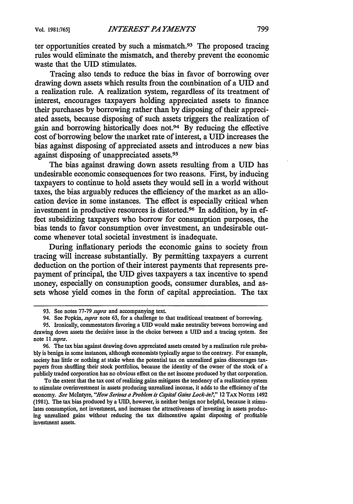ter opportunities created **by** such a mismatch.93 The proposed tracing rules would eliminate the mismatch, and thereby prevent the economic waste that the UID stimulates.

Tracing also tends to reduce the bias in favor of borrowing over drawing down assets which results from the combination of a UID and a realization rule. **A** realization system, regardless of its treatment of interest, encourages taxpayers holding appreciated assets to finance their purchases **by** borrowing rather than **by** disposing of their appreciated assets, because disposing of such assets triggers the realization of gain and borrowing historically does not.94 **By** reducing the effective cost of borrowing below the market rate of interest, a UID increases the bias against disposing of appreciated assets and introduces a new bias against disposing of unappreciated assets.<sup>95</sup>

The bias against drawing down assets resulting from a UID has undesirable economic consequences for two reasons. First, **by** inducing taxpayers to continue to hold assets they would sell in a world without taxes, the bias arguably reduces the efficiency of the market as an allocation device in some instances. The effect is especially critical when investment in productive resources is distorted.96 In addition, **by** in effect subsidizing taxpayers who borrow for consumption purposes, the bias tends to favor consumption over investment, an undesirable outcome whenever total societal investment is inadequate.

During inflationary periods the economic gains to society from tracing will increase substantially. **By** permitting taxpayers a current deduction on the portion of their interest payments that represents prepayment of principal, the **UID** gives taxpayers a tax incentive to spend money, especially on consumption goods, consumer durables, and assets whose yield comes in the form of capital appreciation. The tax

To the extent that the tax cost of realizing gains mitigates the tendency of a realization system to stimulate overinvestment in assets producing unrealized income, it adds to the efficiency of the economy. *See* McIntyre, *"How Serious a Problem is Capital Gains Lock-in?,"* 12 **TAX** NOTES 1492 **(1981).** The tax bias produced **by** a **UID,** however, is neither benign nor helpful, because it stimulates consumption, not investment, and increases the attractiveness of investing in assets producing unrealized gains without reducing the tax disincentive againt disposing of profitable investment assets.

**<sup>93.</sup>** See notes **77-79** *supra* and accompanying text.

<sup>94.</sup> See Popkin, *supra* note **63,** for a challenge to that traditional treatment of borrowing.

**<sup>95.</sup>** Ironically, commentators favoring a UID would make neutrality between borrowing and drawing down assets the decisive issue in the choice between a **UID** and a tracing system. See note **I** *I supra.*

**<sup>96.</sup>** The tax bias against drawing down appreciated assets created **by** a realization rule proba**bly** is benign in some instances, although economists typically argue to the contrary. For example, society has little or nothing at stake when the potential tax on unrealized gains discourages taxpayers from shuffling their stock portfolios, because the identity of the owner of the stock of a publicly traded corporation has no obvious effect on the net income produced **by** that corporation.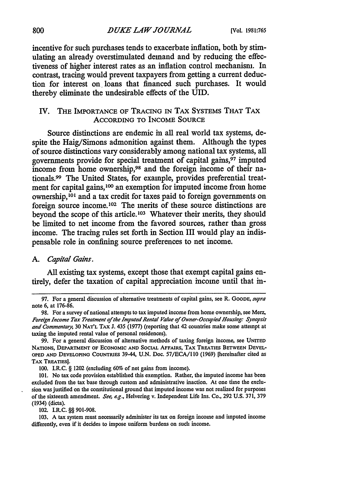#### **800** *DUKE LAW JOURN4L* **[Vol. 1981:765**

incentive for such purchases tends to exacerbate inflation, both by stimulating an already overstimulated demand and by reducing the effectiveness of higher interest rates as an inflation control mechanism. In contrast, tracing would prevent taxpayers from getting a current deduction for interest on, loans that financed such purchases. It would thereby eliminate the undesirable effects of the UID.

# IV. **THE** IMPORTANCE OF TRACING **IN** TAX SYSTEMS THAT TAX ACCORDING TO INCOME **SOURCE**

Source distinctions are endemic in all real world tax systems, despite the Haig/Simons admonition against them. Although the types of source distinctions vary considerably among national tax systems, all governments provide for special treatment of capital gains, 97 imputed income from home ownership,<sup>98</sup> and the foreign income of their nationals.99 The United States, for example, provides preferential treatment for capital gains,<sup>100</sup> an exemption for imputed income from home ownership,<sup>101</sup> and a tax credit for taxes paid to foreign governments on foreign source income.102 The merits of these source distinctions are beyond the scope of this article.<sup>103</sup> Whatever their merits, they should be limited to net income from the favored sources, rather than gross income. The tracing rules set forth in Section III would play an indispensable role in confining source preferences to net income.

### *A. Capital Gains.*

All existing tax systems, except those that exempt capital gains entirely, defer the taxation of capital appreciation income until that in-

102. I.R.C. §§ 901-908.

**103.** A tax system must necessarily administer its tax on foreign income and imputed income differently, even **if** it decides to impose uniform burdens on such income.

<sup>97.</sup> For a general discussion of alternative treatments of capital gains, see R. GOODE, supra note 6, at 176-86.

<sup>98.</sup> For a survey of national attempts to tax imputed income from home ownership, see Merz, Foreign Income Tax Treatment of the Imputed Rental Value of Owner-Occupied Housing. Synopsis and Commentary, 30 **NAT'L** TAx **J.** 435 **(1977)** (reporting that 42 countries make some attempt at taxing the imputed rental value of personal residences).

<sup>99.</sup> For a general discussion of alternative methods of taxing foreign income, see **UNITED NATIONS, DEPARTMENT OF ECONOMIC AND SOCIAL AFFAIRS, TAX TREATIES BETWEEN DEVEL-OPED AND DEVELOPING** COUNTRIES **39-44, U.N.** Doc. **57/ECA/l 10 (1969)** [hereinafter cited as **TAX** TREATIES].

**<sup>100.</sup>** I.R.C. § 1202 (excluding 60% of net gains from income).

**<sup>101.</sup>** No tax code provision established this exemption. Rather, the imputed income has been excluded from the tax base through custom and administrative inaction. At one time the exclusion was justified on the constitutional ground that imputed income was not realized for purposes of the sixteenth amendment. See, *ag.,* Helvering v. Independent Life Ins. Co., **292 U.S. 371, 379** (1934) (dicta).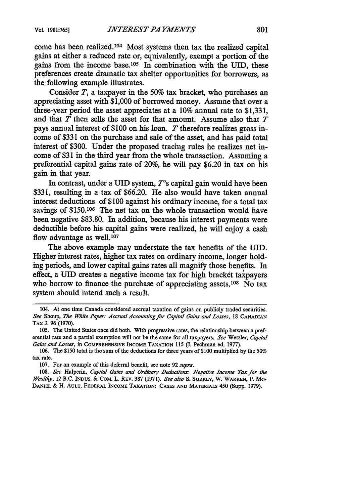come has been realized.104 Most systems then tax the realized capital gains at either a reduced rate or, equivalently, exempt a portion of the gains from the income base.<sup>105</sup> In combination with the UID, these preferences create dramatic tax shelter opportunities for borrowers, as the following example illustrates.

Consider *T,* a taxpayer in the 50% tax bracket, who purchases an appreciating asset with \$1,000 of borrowed money. Assume that over a three-year period the asset appreciates at a 10% annual rate to \$1,331, and that *T* then sells the asset for that amount. Assume also that *T* pays annual interest of \$100 on his loan. *T* therefore realizes gross income of \$331 on the purchase and sale of the asset, and has paid total interest of \$300. Under the proposed tracing rules he realizes net income of \$31 in the third year from the whole transaction. Assuming a preferential capital gains rate of 20%, he will pay \$6.20 in tax on his gain in that year.

In contrast, under a UID system, T's capital gain would have been \$331, resulting in a tax of \$66.20. He also would have taken annual interest deductions of \$100 against his ordinary income, for a total tax savings of \$150.<sup>106</sup> The net tax on the whole transaction would have been negative \$83.80. In addition, because his interest payments were deductible before his capital gains were realized, he will enjoy a cash flow advantage as well.<sup>107</sup>

The above example may understate the tax benefits of the UID. Higher interest rates, higher tax rates on ordinary income, longer holding periods, and lower capital gains rates all magnify those benefits. In effect, a UID creates a negative income tax for high bracket taxpayers who borrow to finance the purchase of appreciating assets.<sup>108</sup> No tax system should intend such a result.

<sup>104.</sup> At one time Canada considered accrual taxation of gains on publicly traded securities. *See* Shoup, *The White Paper: Accrual Accounting for Capital Gains and Losses,* **18 CANADIAN** TAX **J. 96** (1970).

<sup>105.</sup> The United States once did both. With progressive rates, the relationship between a preferential rate and a partial exemption will not be the same for all taxpayers. *See* Wetzler, *Capital Gains and Losses,* in COMPREHENSIVE INCOME TAXATION **115 (J.** Pechman ed. 1977).

<sup>106.</sup> The \$150 total is the sum of the deductions for three years of \$100 multiplied by the *50%* tax rate.

**<sup>107.</sup>** For an example of this deferral benefit, see note **92** *supra.*

**<sup>108.</sup>** *See* Halperin, *Capital Gains and Ordinary Deductions: Negative Income Tax for the Wealthy,* 12 B.C. **INDUS.** & COM. L. REv. **387** (1971). *See also S.* SURREY, W. WARREN, P. MC-**DANIEL &** H. **AULT, FEDERAL INCOME TAXATION: CASES AND MATERIALS** 450 (Supp. **1979).**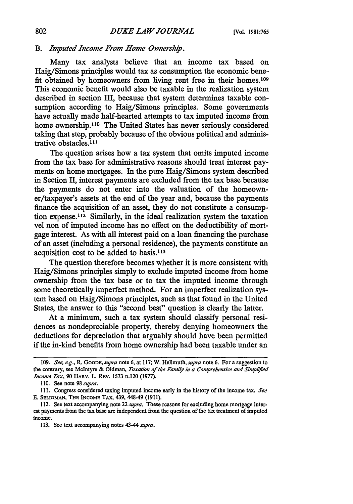# *B. Imputed Income From Home Ownership.*

Many tax analysts believe that an income tax based on Haig/Simons principles would tax as consumption the economic benefit obtained by homeowners from living rent free in their homes.<sup>109</sup> This economic benefit would also be taxable in the realization system described in section III, because that system determines taxable consumption according to Haig/Simons principles. Some governments have actually made half-hearted attempts to tax imputed income from home ownership.<sup>110</sup> The United States has never seriously considered taking that step, probably because of the obvious political and administrative obstacles.<sup>111</sup>

The question arises how a tax system that omits imputed income from the tax base for administrative reasons should treat interest payments on home mortgages. In the pure Haig/Simons system described in Section II, interest payments are excluded from the tax base because the payments do not enter into the valuation of the homeowner/taxpayer's assets at the end of the year and, because the payments finance the acquisition of an asset, they do not constitute a consumption expense.<sup>112</sup> Similarly, in the ideal realization system the taxation vel non of imputed income has no effect on the deductibility of mortgage interest. As with all interest paid on a loan financing the purchase of an asset (including a personal residence), the payments constitute an acquisition cost to be added to basis.<sup>113</sup>

The question therefore becomes whether it is more consistent with Haig/Simons principles simply to exclude imputed income from home ownership from the tax base or to tax the imputed income through some theoretically imperfect method. For an imperfect realization system based on Haig/Simons principles, such as that found in the United States, the answer to this "second best" question is clearly the latter.

At a minimum, such a tax system should classify personal residences as nondepreciable property, thereby denying homeowners the deductions for depreciation that arguably should have been permitted if the in-kind benefits from home ownership had been taxable under an

**<sup>109.</sup>** *See, e.g., R. GOODE, supra* note 6, at 117; W. Hellmuth, *supra* note 6. For a suggestion to the contrary, see McIntyre & Oldman, *Taxation of the Family in a Comprehensive and Simplified Income Tax,* 90 **HARV.** L. **REV.** 1573 n.120 (1977).

<sup>110.</sup> See note 98 *supra.*

<sup>111.</sup> Congress considered taxing imputed income early in the history of the income tax. *See* E. SELIoMAN, THE INCOME TAX, 439, 448-49 (1911).

<sup>112.</sup> See text accompanying note 22 *supra.* These reasons for excluding home mortgage interest payments from the tax base are independent from the question of the tax treatment of imputed income.

<sup>113.</sup> See text accompanying notes 43-44 *supra.*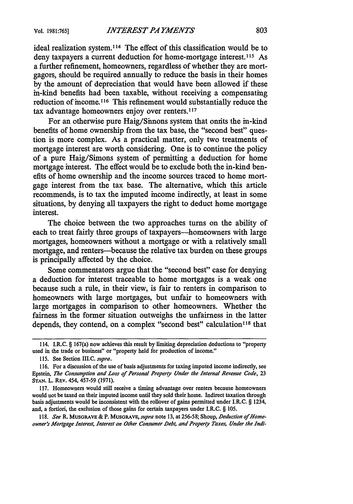ideal realization system.<sup>114</sup> The effect of this classification would be to deny taxpayers a current deduction for home-mortgage interest.<sup>115</sup> As a further refinement, homeowners, regardless of whether they are mortgagors, should be required annually to reduce the basis in their homes by the amount of depreciation that would have been allowed if these in-kind benefits had been taxable, without receiving a compensating reduction of income.<sup>116</sup> This refinement would substantially reduce the tax advantage homeowners enjoy over renters.<sup>117</sup>

For an otherwise pure Haig/Sinnons system that onnits the in-kind benefits of home ownership from the tax base, the "second best" question is more complex. As a practical matter, only two treatments of mortgage interest are worth considering. One is to continue the policy of a pure Haig/Simons system of permitting a deduction for home mortgage interest. The effect would be to exclude both the in-kind benefits of home ownership and the income sources traced to home mortgage interest from the tax base. The alternative, which this article recommends, is to tax the imputed income indirectly, at least in some situations, by denying all taxpayers the right to deduct home mortgage interest.

The choice between the two approaches turns on the ability of each to treat fairly three groups of taxpayers-homeowners with large mortgages, homeowners without a mortgage or with a relatively small mortgage, and renters-because the relative tax burden on these groups is principally affected by the choice.

Some commentators argue that the "second best" case for denying a deduction for interest traceable to home mortgages is a weak one because such a rule, in their view, is fair to renters in comparison to homeowners with large mortgages, but unfair to homeowners with large mortgages in comparison to other homeowners. Whether the fairness in the former situation outweighs the unfairness in the latter depends, they contend, on a complex "second best" calculation<sup>118</sup> that

117. Homeowners would still receive a timing advantage over renters because homeowners would not be taxed on their imputed income until they sold their home. Indirect taxation through basis adjustments would be inconsistent with the rollover of gains permitted under I.R.C. § 1234, and, a fortiori, the exclusion of those gains for certain taxpayers under I.R.C. § 105.

118. See R. MUSGRAVE & P. MUSGRAVE, *supra* note 13, at 256-58; Shoup, *Deduction of Homeowner's Mortgage Interest, Interest on Other Consumer Debt, and Property Taxes, Under the lndi-*

<sup>114.</sup> I.R.C. § 167(a) now achieves this result by limiting depreciation deductions to "property used in the trade or business" or "property held for production of income."

<sup>115.</sup> See Section III.C. *supra.*

<sup>116.</sup> For a discussion of the use of basis adjustments for taxing imputed income indirectly, see Epstein, *The Consumption and Loss of Personal Property Under the Internal Revenue Code,* <sup>23</sup> **STAN.** L. REV. 454, 457-59 (1971).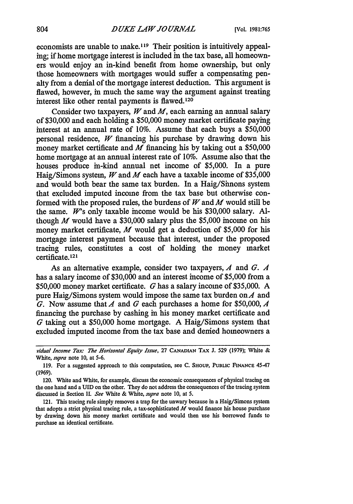economists are unable to make.<sup>119</sup> Their position is intuitively appealing; if home mortgage interest is included in the tax base, all homeowners would enjoy an in-kind benefit from home ownership, but only those homeowners with mortgages would suffer a compensating penalty from a denial of the mortgage interest deduction. This argument is flawed, however, in much the same way the argument against treating interest like other rental payments is flawed.<sup>120</sup>

Consider two taxpayers, *W* and *M,* each earning an annual salary of \$30,000 and each holding a \$50,000 money market certificate paying interest at an annual rate of 10%. Assume that each buys a \$50,000 personal residence, *W* financing his purchase by drawing down his money market certificate and *M* financing his by taking out a \$50,000 home mortgage at an annual interest rate of 10%. Assume also that the houses produce in-kind annual net income of \$5,000. In a pure Haig/Simons system, *W* and *M* each have a taxable income of \$35,000 and would both bear the same tax burden. In a Haig/Simons system that excluded imputed income from the tax base but otherwise conformed with the proposed rules, the burdens of *W* and *M* would still be the same. *W's* only taxable income would be his \$30,000 salary. Although *M* would have a \$30,000 salary plus the \$5,000 income on his money market certificate, *M* would get a deduction of \$5,000 for his mortgage interest payment because that interest, under the proposed tracing rules, constitutes a cost of holding the money market certificate.<sup>121</sup>

As an alternative example, consider two taxpayers, *A* and *G. A* has a salary income of \$30,000 and an interest income of \$5,000 from a \$50,000 money market certificate. G has a salary income of \$35,000. A pure Haig/Simons system would impose the same tax burden *onA* and *G.* Now assume that *A* and G each purchases a home for \$50,000, *A* financing the purchase by cashing in his money market certificate and *G* taking out a \$50,000 home mortgage. A Haig/Simons system that excluded imputed income from the tax base and denied homeowners a

*vidual Income Tax: The Horizontal Equity Issue,* **27 CANADIAN TAX J. 529 (1979);** White & White, *supra* note 10, at 5-6.

<sup>119.</sup> For a suggested approach to this computation, see C. **SHOUP,** PUBLIC **FINANCE** 45-47 (1969).

<sup>120.</sup> White and White, for example, discuss the economic consequences of physical tracing on the one hand and a UID on the other. They do not address the consequences of the tracing system discussed in Section II. *See* White & White, *supra* note **10,** at 5.

<sup>121.</sup> This tracing rule simply removes a trap for the unwary because in a Haig/Simons system that adopts a strict physical tracing rule, a tax-sophisticated *M* would finance his house purchase by drawing down his money market certificate and would then use **his** borrowed funds to purchase an identical certificate.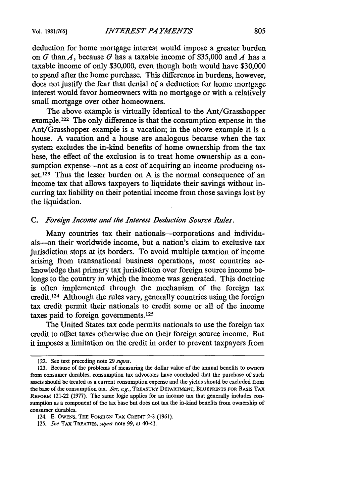deduction for home mortgage interest would impose a greater burden on G than A, because G has a taxable income of \$35,000 and A has a taxable income of only \$30,000, even though both would have \$30,000 to spend after the home purchase. This difference in burdens, however, does not justify the fear that denial of a deduction for home mortgage interest would favor homeowners with no mortgage or with a relatively small mortgage over other homeowners.

The above example is virtually identical to the Ant/Grasshopper example.<sup>122</sup> The only difference is that the consumption expense in the Ant/Grasshopper example is a vacation; in the above example it is a house. A vacation and a house are analogous because when the tax system excludes the in-kind benefits of home ownership from the tax base, the effect of the exclusion is to treat home ownership as a consumption expense--not as a cost of acquiring an income producing asset.123 Thus the lesser burden on A is the normal consequence of an income tax that allows taxpayers to liquidate their savings without incurring tax liability on their potential income from those savings lost by the liquidation.

### *C. Foreign Income and the Interest Deduction Source Rules.*

Many countries tax their nationals—corporations and individuals--on their worldwide income, but a nation's claim to exclusive tax jurisdiction stops at its borders. To avoid multiple taxation of income arising from transnational business operations, most countries acknowledge that primary tax jurisdiction over foreign source income belongs to the country in which the income was generated. This doctrine is often implemented through the mechanism of the foreign tax credit. 24 Although the rules vary, generally countries using the foreign tax credit permit their nationals to credit some or all of the income taxes paid to foreign governments.<sup>125</sup>

The United States tax code permits nationals to use the foreign tax credit to offset taxes otherwise due on their foreign source income. But it imposes a limitation on the credit in order to prevent taxpayers from

<sup>122.</sup> See text preceding note 29 *supra.*

<sup>123.</sup> Because of the problems of measuring the dollar value of the annual benefits to owners from consumer durables, consumption tax advocates have concluded that the purchase of such assets should be treated as a current consumption expense and the yields should be excluded from the base of the consumption tax. *See, e.g.,* TREASURY DEPARTMENT, **BLUEPRINTS FOR** BASIS **TAX** REFORM 121-22 (1977). The same logic applies for an income tax that generally includes consumption as a component of the tax base but does not tax the in-kind benefits from ownership of consumer durables.

<sup>124.</sup> E. **OWENS, THE** FOREIGN TAX CREDIT 2-3 (1961).

<sup>125.</sup> *See* TAX TREATIES, *supra* note 99, at 40-41.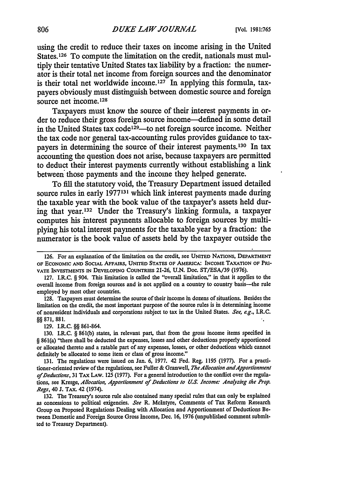using the credit to reduce their taxes on income arising in the United States.<sup>126</sup> To compute the limitation on the credit, nationals must multiply their tentative United States tax liability by a fraction: the numerator is their total net income from foreign sources and the denominator is their total net worldwide income.127 In applying this formula, taxpayers obviously must distinguish between domestic source and foreign source net income.<sup>128</sup>

Taxpayers must know the source of their interest payments in order to reduce their gross foreign source income-defined in some detail in the United States tax code<sup>129</sup>—to net foreign source income. Neither the tax code nor general tax-accounting rules provides guidance to taxpayers in determining the source of their interest payments. 130 In tax accounting the question does not arise, because taxpayers are permitted to deduct their interest payments currently without establishing a link between those payments and the income they helped generate.

To fill the statutory void, the Treasury Department issued detailed source rules in early **1977131** which link interest payments made during the taxable year with the book value of the taxpayer's assets held during that year.132 Under the Treasury's linking formula, a taxpayer computes his interest payments allocable to foreign sources by multiplying his total interest payments for the taxable year by a fraction: the numerator is the book value of assets held by the taxpayer outside the

129. I.R.C. §§ 861-864.

**<sup>126.</sup>** For an explanation of the limitation on the credit, see **UNITED** NATIONS, DEPARTMENT OF **ECONOMIC AND** SOCIAL AFFAIRS, **UNITED** STATES OF AMERICA: **INCOME** TAXATION **OF PRI-VATE** INVESTMENTS **IN DEVELOPING COUNTRIES** 21-26, U.N. Doc. ST/ESA/39 (1976).

<sup>127.</sup> I.R.C. § 904. This limitation is called the "overall limitation," in that it applies to the overall income from foreign sources and is not applied on a country to country basis-the rule employed by most other countries.

<sup>128.</sup> Taxpayers must determine the source of their income in dozens of situations. Besides the limitation on the credit, the most important purpose of the source rules is in determining income of nonresident individuals and corporations subject to tax in the United States. *See, e.g.,* I.R.C. 871, 881.

<sup>130.</sup> I.R.C. § 861(b) states, in relevant part, that from the gross income items specified in § 861(a) "there shall be deducted the expenses, losses and other deductions properly apportioned or allocated thereto and a ratable part of any expenses, losses, or other deductions which cannot definitely be allocated to some item or class of gross income."

<sup>131.</sup> The regulations were issued on Jan. 6, 1977. 42 Fed. Reg. 1195 (1977). For a practitioner-oriented review of the regulations, see Fuller & Granwell, *The Allocation and Apportionment of Deductions,* 31 *TAX* LAW. 125 (1977). For a general introduction to the conflict over the regula**tions,** see Kresge, *Allocation, Apportionment of Deductions to U.S. Income: Analyzing the Prop. Regs,* 40 **J.** TAX. 42 (1974).

<sup>132.</sup> The Treasury's source rule also contained many special rules that can only be explained as concessions to political exigencies. *See* R. McIntyre, Comments of Tax Reform Research Group on Proposed Regulations Dealing with Allocation and Apportionment of Deductions Between Domestic and Foreign Source Gross Income, Dec. 16, 1976 (unpublished comment submitted to Treasury Department).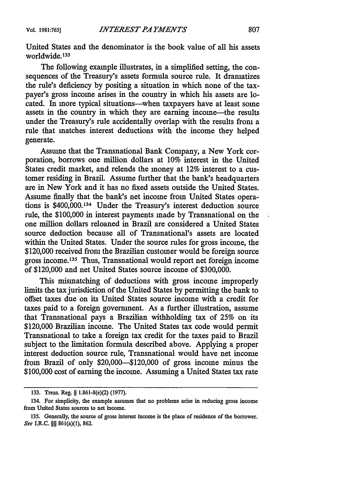United States and the denominator is the book value of all his assets worldwide.133

The following example illustrates, in a simplified setting, the consequences of the Treasury's assets formula source rule. It dramatizes the rule's deficiency by positing a situation in which none of the taxpayer's gross income arises in the country in which his assets are located. In more typical situations-when taxpayers have at least some assets in the country in which they are earning income--the results under the Treasury's rule accidentally overlap with the results from a rule that matches interest deductions with the income they helped generate.

Assume that the Transnational Bank Company, a New York corporation, borrows one million dollars at 10% interest in the United States credit market, and relends the money at 12% interest to a customer residing in Brazil. Assume further that the bank's headquarters are in New York and it has no fixed assets outside the United States. Assume finally that the bank's net income from United States operations is \$400,000.134 Under the Treasury's interest deduction source rule, the \$100,000 in interest payments made by Transnational on the one million dollars reloaned in Brazil are considered a United States source deduction because all of Transnational's assets are located within the United States. Under the source rules for gross income, the \$120,000 received from the Brazilian customer would be foreign source gross income.135 Thus, Transnational would report net foreign income of \$120,000 and net United States source income of \$300,000.

This mismatching of deductions with gross income improperly limits the tax jurisdiction of the United States by permitting the bank to offset taxes due on its United States source income with a credit for taxes paid to a foreign government. As a further illustration, assume that Transnational pays a Brazilian withholding tax of 25% on its \$120,000 Brazilian income. The United States tax code would permit Transnational to take a foreign tax credit for the taxes paid to Brazil subject to the limitation formula described above. Applying a proper interest deduction source rule, Transnational would have net income from Brazil of only \$20,000-\$120,000 of gross income minus the \$100,000 cost of earning the income. Assuming a United States tax rate

<sup>133.</sup> Treas. Reg. § 1.861-8(e)(2) (1977).

<sup>134.</sup> For simplicity, the example assumes that no problems arise in reducing gross income from United States sources to net income.

<sup>135.</sup> Generally, the source of gross interest income is the place of residence of the borrower. See I.R.C. §§ 861(a)(1), 862.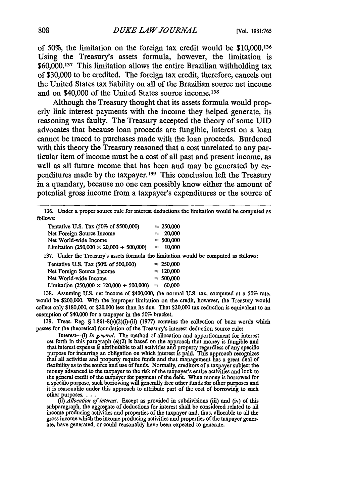of **50%,** the limitation on the foreign tax credit would be **\$10,000.136** Using the Treasury's assets formula, however, the limitation is **\$60,000.137** This limitation allows the entire Brazilian withholding tax of **\$30,000** to be credited. The foreign tax credit, therefore, cancels out the United States tax liability on all of the Brazilian source net income and on \$40,000 of the United States source income.<sup>138</sup>

Although the Treasury thought that its assets formula would properly link interest payments with the income they helped generate, its reasoning was faulty. The Treasury accepted the theory of some UID advocates that because loan proceeds are fungible, interest on a loan cannot be traced to purchases made with the loan proceeds. Burdened with this theory the Treasury reasoned that a cost unrelated to any particular item of income must be a cost of all past and present income, as well as all future income that has been and may be generated **by** expenditures made by the taxpayer.<sup>139</sup> This conclusion left the Treasury in a quandary, because no one can possibly know either the amount of potential gross income from a taxpayer's expenditures or the source of

**<sup>136.</sup>** Under a proper source rule for interest deductions the limitation would be computed as follows:

| Tentative U.S. Tax (50% of \$500,000)                  |  | $= 250,000$ |
|--------------------------------------------------------|--|-------------|
| Net Foreign Source Income                              |  | $= 20,000$  |
| Net World-wide Income                                  |  | $= 500,000$ |
| Limitation (250,000 $\times$ 20,000 $+$ 500,000)       |  | $= 10,000$  |
| 37 TInder the Treasury's assets formula the limitation |  |             |

137. Under the Treasury's assets formula the limitation would be computed as follows:

| Tentative U.S. Tax (50% of 500,000)                      | $= 250,000$ |
|----------------------------------------------------------|-------------|
| Net Foreign Source Income                                | $= 120,000$ |
| Net World-wide Income                                    | $= 500,000$ |
| Limitation $(250,000 \times 120,000 + 500,000) = 60,000$ |             |
|                                                          |             |

138. Assuming **U.S.** net income of \$400,000, the normal U.S. tax, computed at a 50% rate, would be \$200,000. With the improper limitation on the credit, however, the Treasury would collect only \$180,000, or \$20,000 less than its due. That \$20,000 tax reduction is equivalent to an exemption of \$40,000 for a taxpayer in the 50% bracket.

139. Treas. Reg. § 1.861-8(e)(2)(i)-(ii) (1977) contains the collection of buzz words which passes for the theoretical foundation of the Treasury's interest deduction source rule:

Interest---(i) *In general*. The method of allocation and apportionment for interest set forth in this paragraph (e)(2) is based on the approach that money is fungible and that interest expense is attributable to all activities **and** property regardless **of** any **specific** purpose for **increase is altributable to all activities and property regardless of any specific** that all activities and property require funds **and** that management **has** a great deal **of** flexibility as to the source and use of funds. Normally, creditors of a taxpayer subject the money advanced to the taxpayer to the risk of the taxpayer's entire activities and look to money advanced to the taxpayer to the risk of the taxpayer's entire activities and look to the general credit of the taxpayer for payment of the debt. When money is borrowed for a specific purpose, such borrowing will gene

(ii) *Allocation of interest*. Except as provided in subdivisions (iii) and (iv) of this<br>subparagraph, the aggregate of deductions for interest shall be considered related to all gross income **which** the income **producing** activities and properties **of the** taxpayer gener- ate, have generated, **or** could reasonably have **been** expected to generate.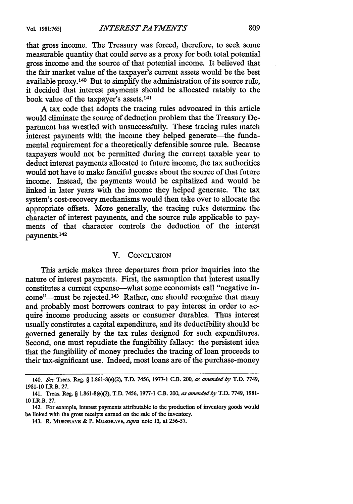that gross income. The Treasury was forced, therefore, to seek some measurable quantity that could serve as a proxy for both total potential gross income and the source of that potential income. It believed that the fair market value of the taxpayer's current assets would be the best available proxy. 140 But to simplify the administration of its source rule, it decided that interest payments should be allocated ratably to the book value of the taxpayer's assets.141

A tax code that adopts the tracing rules advocated in this article would eliminate the source of deduction problem that the Treasury Department has wrestled with unsuccessfully. These tracing rules match interest payments with the income they helped generate—the fundamental requirement for a theoretically defensible source rule. Because taxpayers would not be permitted during the current taxable year to deduct interest payments allocated to future income, the tax authorities would not have to make fanciful guesses about the source of that future income. Instead, the payments would be capitalized and would be linked in later years with the income they helped generate. The tax system's cost-recovery mechanisms would then take over to allocate the appropriate offsets. More generally, the tracing rules determine the character of interest payments, and the source rule applicable to payments of that character controls the deduction of the interest payments.142

## V. CONCLUSION

This article makes three departures from prior inquiries into the nature of interest payments. First, the assumption that interest usually constitutes a current expense-what some economists call "negative income"--must be rejected.<sup>143</sup> Rather, one should recognize that many and probably most borrowers contract to pay interest in order to acquire income producing assets or consumer durables. Thus interest usually constitutes a capital expenditure, and its deductibility should be governed generally by the tax rules designed for such expenditures. Second, one must repudiate the fungibility fallacy: the persistent idea that the fungibility of money precludes the tracing of loan proceeds to their tax-significant use. Indeed, most loans are of the purchase-money

<sup>140.</sup> *See* Treas. Reg. § 1.861-8(e)(2), T.D. 7456, 1977-1 C.B. 200, *as amended by* T.D. 7749, **1981-10** I.R.B. **27.**

<sup>141.</sup> Treas. Reg. § 1.861-8(e)(2), T.D. 7456, 1977-1 C.B. 200, *as amended by* T.D. 7749, **1981- 10** I.R.B. 27.

<sup>142.</sup> For example, interest payments attributable to the production of inventory goods would be linked with the gross receipts earned on the sale of the inventory.

<sup>143.</sup> R. MUSGRAVE & P. MUSGRAVE, *supra* note 13, at 256-57.